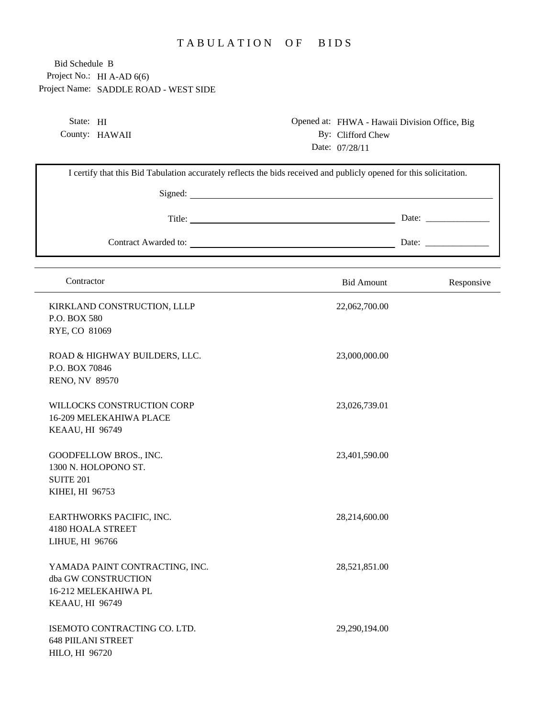## TABULATION OF BIDS

Project No.: HI A-AD 6(6) Project Name: SADDLE ROAD - WEST SIDE Bid Schedule B

> State: HI County: HAWAII

Opened at: FHWA - Hawaii Division Office, Big By: Clifford Chew Date: 07/28/11

| I certify that this Bid Tabulation accurately reflects the bids received and publicly opened for this solicitation. |                   |                                                          |  |  |
|---------------------------------------------------------------------------------------------------------------------|-------------------|----------------------------------------------------------|--|--|
|                                                                                                                     |                   |                                                          |  |  |
|                                                                                                                     |                   | Date: $\frac{1}{\sqrt{1-\frac{1}{2}} \cdot \frac{1}{2}}$ |  |  |
|                                                                                                                     |                   |                                                          |  |  |
| Contractor                                                                                                          | <b>Bid Amount</b> | Responsive                                               |  |  |
| KIRKLAND CONSTRUCTION, LLLP<br>P.O. BOX 580<br>RYE, CO 81069                                                        | 22,062,700.00     |                                                          |  |  |
| ROAD & HIGHWAY BUILDERS, LLC.<br>P.O. BOX 70846<br><b>RENO, NV 89570</b>                                            | 23,000,000.00     |                                                          |  |  |
| WILLOCKS CONSTRUCTION CORP<br>16-209 MELEKAHIWA PLACE<br>KEAAU, HI 96749                                            | 23,026,739.01     |                                                          |  |  |
| GOODFELLOW BROS., INC.<br>1300 N. HOLOPONO ST.<br><b>SUITE 201</b><br>KIHEI, HI 96753                               | 23,401,590.00     |                                                          |  |  |
| EARTHWORKS PACIFIC, INC.<br><b>4180 HOALA STREET</b><br>LIHUE, HI 96766                                             | 28,214,600.00     |                                                          |  |  |
| YAMADA PAINT CONTRACTING, INC.<br>dba GW CONSTRUCTION<br>16-212 MELEKAHIWA PL<br>KEAAU, HI 96749                    | 28,521,851.00     |                                                          |  |  |
| ISEMOTO CONTRACTING CO. LTD.<br><b>648 PIILANI STREET</b><br>HILO, HI 96720                                         | 29,290,194.00     |                                                          |  |  |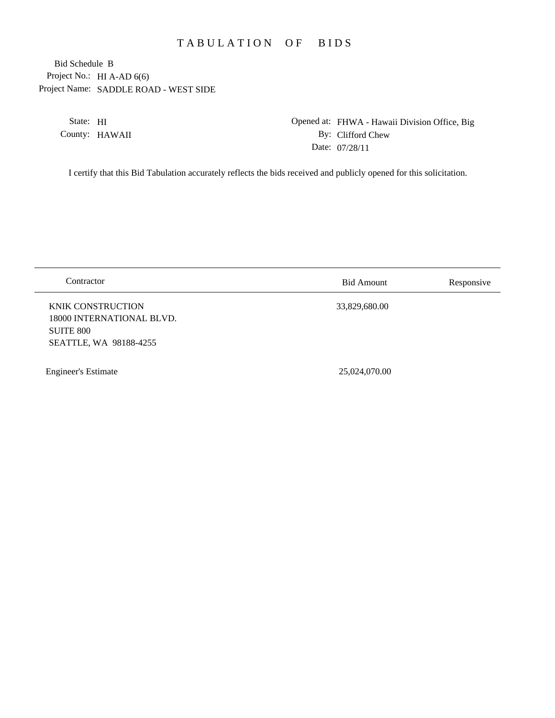## TABULATION OF BIDS

Project No.: HI A-AD 6(6) Project Name: SADDLE ROAD - WEST SIDE Bid Schedule B

> State: HI County: HAWAII

Opened at: FHWA - Hawaii Division Office, Big By: Clifford Chew Date: 07/28/11

I certify that this Bid Tabulation accurately reflects the bids received and publicly opened for this solicitation.

| Contractor                                                                                          | <b>Bid Amount</b> | Responsive |
|-----------------------------------------------------------------------------------------------------|-------------------|------------|
| <b>KNIK CONSTRUCTION</b><br>18000 INTERNATIONAL BLVD.<br><b>SUITE 800</b><br>SEATTLE, WA 98188-4255 | 33,829,680.00     |            |
| <b>Engineer's Estimate</b>                                                                          | 25,024,070.00     |            |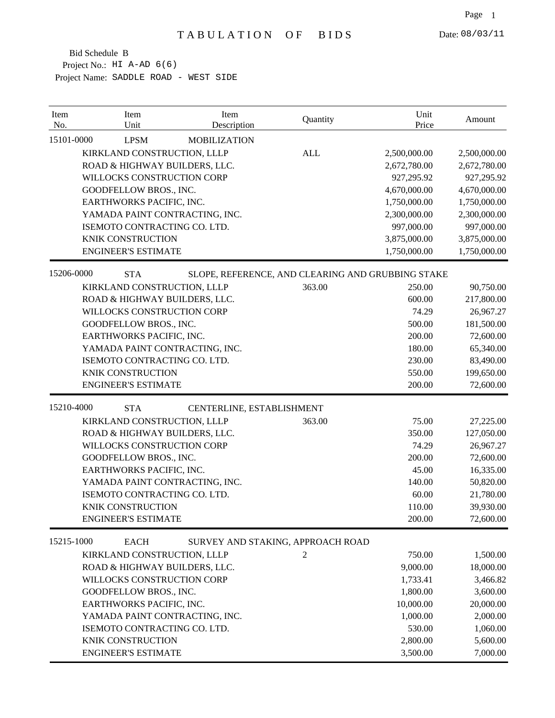| Item<br>No. | Item<br>Unit                   | Item<br>Description               | Quantity   | Unit<br>Price                                     | Amount       |
|-------------|--------------------------------|-----------------------------------|------------|---------------------------------------------------|--------------|
| 15101-0000  | <b>LPSM</b>                    | <b>MOBILIZATION</b>               |            |                                                   |              |
|             | KIRKLAND CONSTRUCTION, LLLP    |                                   | <b>ALL</b> | 2,500,000.00                                      | 2,500,000.00 |
|             | ROAD & HIGHWAY BUILDERS, LLC.  |                                   |            | 2,672,780.00                                      | 2,672,780.00 |
|             | WILLOCKS CONSTRUCTION CORP     |                                   |            | 927,295.92                                        | 927,295.92   |
|             | GOODFELLOW BROS., INC.         |                                   |            | 4,670,000.00                                      | 4,670,000.00 |
|             | EARTHWORKS PACIFIC, INC.       |                                   |            | 1,750,000.00                                      | 1,750,000.00 |
|             | YAMADA PAINT CONTRACTING, INC. |                                   |            | 2,300,000.00                                      | 2,300,000.00 |
|             | ISEMOTO CONTRACTING CO. LTD.   |                                   |            | 997,000.00                                        | 997,000.00   |
|             | <b>KNIK CONSTRUCTION</b>       |                                   |            | 3,875,000.00                                      | 3,875,000.00 |
|             | <b>ENGINEER'S ESTIMATE</b>     |                                   |            | 1,750,000.00                                      | 1,750,000.00 |
| 15206-0000  | <b>STA</b>                     |                                   |            | SLOPE, REFERENCE, AND CLEARING AND GRUBBING STAKE |              |
|             | KIRKLAND CONSTRUCTION, LLLP    |                                   | 363.00     | 250.00                                            | 90,750.00    |
|             | ROAD & HIGHWAY BUILDERS, LLC.  |                                   |            | 600.00                                            | 217,800.00   |
|             | WILLOCKS CONSTRUCTION CORP     |                                   |            | 74.29                                             | 26,967.27    |
|             | GOODFELLOW BROS., INC.         |                                   |            | 500.00                                            | 181,500.00   |
|             | EARTHWORKS PACIFIC, INC.       |                                   |            | 200.00                                            | 72,600.00    |
|             | YAMADA PAINT CONTRACTING, INC. |                                   |            | 180.00                                            | 65,340.00    |
|             | ISEMOTO CONTRACTING CO. LTD.   |                                   |            | 230.00                                            | 83,490.00    |
|             | <b>KNIK CONSTRUCTION</b>       |                                   |            | 550.00                                            | 199,650.00   |
|             | <b>ENGINEER'S ESTIMATE</b>     |                                   |            | 200.00                                            | 72,600.00    |
| 15210-4000  | <b>STA</b>                     | CENTERLINE, ESTABLISHMENT         |            |                                                   |              |
|             | KIRKLAND CONSTRUCTION, LLLP    |                                   | 363.00     | 75.00                                             | 27,225.00    |
|             | ROAD & HIGHWAY BUILDERS, LLC.  |                                   |            | 350.00                                            | 127,050.00   |
|             | WILLOCKS CONSTRUCTION CORP     |                                   |            | 74.29                                             | 26,967.27    |
|             | GOODFELLOW BROS., INC.         |                                   |            | 200.00                                            | 72,600.00    |
|             | EARTHWORKS PACIFIC, INC.       |                                   |            | 45.00                                             | 16,335.00    |
|             | YAMADA PAINT CONTRACTING, INC. |                                   |            | 140.00                                            | 50,820.00    |
|             | ISEMOTO CONTRACTING CO. LTD.   |                                   |            | 60.00                                             | 21,780.00    |
|             | <b>KNIK CONSTRUCTION</b>       |                                   |            | 110.00                                            | 39,930.00    |
|             | <b>ENGINEER'S ESTIMATE</b>     |                                   |            | 200.00                                            | 72,600.00    |
| 15215-1000  | <b>EACH</b>                    | SURVEY AND STAKING, APPROACH ROAD |            |                                                   |              |
|             | KIRKLAND CONSTRUCTION, LLLP    |                                   | 2          | 750.00                                            | 1,500.00     |
|             | ROAD & HIGHWAY BUILDERS, LLC.  |                                   |            | 9,000.00                                          | 18,000.00    |
|             | WILLOCKS CONSTRUCTION CORP     |                                   |            | 1,733.41                                          | 3,466.82     |
|             | GOODFELLOW BROS., INC.         |                                   |            | 1,800.00                                          | 3,600.00     |
|             | EARTHWORKS PACIFIC, INC.       |                                   |            | 10,000.00                                         | 20,000.00    |
|             | YAMADA PAINT CONTRACTING, INC. |                                   |            | 1,000.00                                          | 2,000.00     |
|             | ISEMOTO CONTRACTING CO. LTD.   |                                   |            | 530.00                                            | 1,060.00     |
|             | KNIK CONSTRUCTION              |                                   |            | 2,800.00                                          | 5,600.00     |
|             | <b>ENGINEER'S ESTIMATE</b>     |                                   |            | 3,500.00                                          | 7,000.00     |
|             |                                |                                   |            |                                                   |              |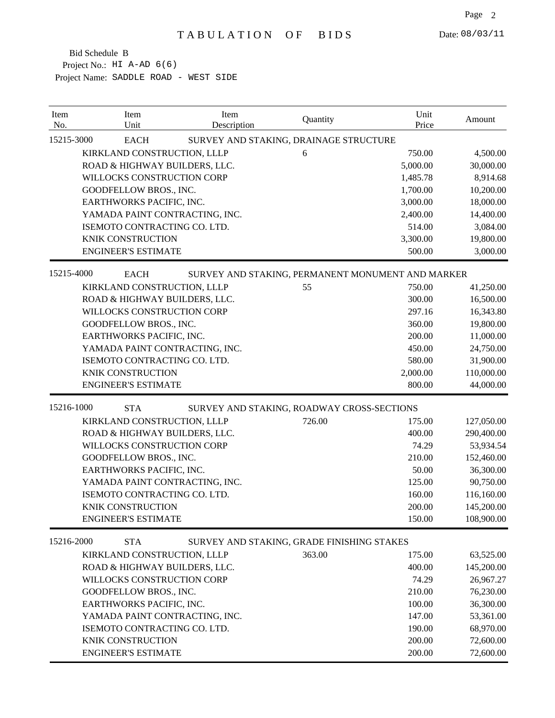| 15215-3000<br><b>EACH</b><br>SURVEY AND STAKING, DRAINAGE STRUCTURE<br>KIRKLAND CONSTRUCTION, LLLP<br>750.00<br>4,500.00<br>6<br>ROAD & HIGHWAY BUILDERS, LLC.<br>5,000.00<br>30,000.00<br>WILLOCKS CONSTRUCTION CORP<br>8,914.68<br>1,485.78<br>GOODFELLOW BROS., INC.<br>1,700.00<br>10,200.00<br>EARTHWORKS PACIFIC, INC.<br>3,000.00<br>18,000.00<br>YAMADA PAINT CONTRACTING, INC.<br>2,400.00<br>14,400.00<br>ISEMOTO CONTRACTING CO. LTD.<br>514.00<br>3,084.00<br>3,300.00<br>KNIK CONSTRUCTION<br>19,800.00<br><b>ENGINEER'S ESTIMATE</b><br>500.00<br>3,000.00<br>15215-4000<br><b>EACH</b><br>SURVEY AND STAKING, PERMANENT MONUMENT AND MARKER<br>KIRKLAND CONSTRUCTION, LLLP<br>55<br>750.00<br>41,250.00<br>ROAD & HIGHWAY BUILDERS, LLC.<br>300.00<br>16,500.00<br>WILLOCKS CONSTRUCTION CORP<br>297.16<br>16,343.80<br>GOODFELLOW BROS., INC.<br>360.00<br>19,800.00<br>EARTHWORKS PACIFIC, INC.<br>200.00<br>11,000.00<br>YAMADA PAINT CONTRACTING, INC.<br>450.00<br>24,750.00<br>ISEMOTO CONTRACTING CO. LTD.<br>580.00<br>31,900.00<br><b>KNIK CONSTRUCTION</b><br>2,000.00<br>110,000.00<br><b>ENGINEER'S ESTIMATE</b><br>44,000.00<br>800.00<br>15216-1000<br><b>STA</b><br>SURVEY AND STAKING, ROADWAY CROSS-SECTIONS<br>KIRKLAND CONSTRUCTION, LLLP<br>726.00<br>175.00<br>127,050.00<br>ROAD & HIGHWAY BUILDERS, LLC.<br>400.00<br>290,400.00<br>WILLOCKS CONSTRUCTION CORP<br>74.29<br>53,934.54<br>GOODFELLOW BROS., INC.<br>210.00<br>152,460.00<br>EARTHWORKS PACIFIC, INC.<br>50.00<br>36,300.00<br>YAMADA PAINT CONTRACTING, INC.<br>125.00<br>90,750.00<br>ISEMOTO CONTRACTING CO. LTD.<br>160.00<br>116,160.00<br>KNIK CONSTRUCTION<br>200.00<br>145,200.00<br>150.00<br>108,900.00<br><b>ENGINEER'S ESTIMATE</b><br>15216-2000<br><b>STA</b><br>SURVEY AND STAKING, GRADE FINISHING STAKES<br>363.00<br>175.00<br>KIRKLAND CONSTRUCTION, LLLP<br>63,525.00<br>400.00<br>145,200.00<br>ROAD & HIGHWAY BUILDERS, LLC.<br>WILLOCKS CONSTRUCTION CORP<br>26,967.27<br>74.29<br>210.00<br>76,230.00<br>GOODFELLOW BROS., INC.<br>EARTHWORKS PACIFIC, INC.<br>100.00<br>36,300.00<br>147.00<br>53,361.00<br>YAMADA PAINT CONTRACTING, INC.<br>190.00<br>68,970.00<br>ISEMOTO CONTRACTING CO. LTD.<br>KNIK CONSTRUCTION<br>200.00<br>72,600.00<br><b>ENGINEER'S ESTIMATE</b> | Item<br>No. | Item<br>Unit | Item<br>Description | Quantity | Unit<br>Price | Amount    |
|---------------------------------------------------------------------------------------------------------------------------------------------------------------------------------------------------------------------------------------------------------------------------------------------------------------------------------------------------------------------------------------------------------------------------------------------------------------------------------------------------------------------------------------------------------------------------------------------------------------------------------------------------------------------------------------------------------------------------------------------------------------------------------------------------------------------------------------------------------------------------------------------------------------------------------------------------------------------------------------------------------------------------------------------------------------------------------------------------------------------------------------------------------------------------------------------------------------------------------------------------------------------------------------------------------------------------------------------------------------------------------------------------------------------------------------------------------------------------------------------------------------------------------------------------------------------------------------------------------------------------------------------------------------------------------------------------------------------------------------------------------------------------------------------------------------------------------------------------------------------------------------------------------------------------------------------------------------------------------------------------------------------------------------------------------------------------------------------------------------------------------------------------------------------------------------------------------------------------------------------------------------------------------------------------------|-------------|--------------|---------------------|----------|---------------|-----------|
|                                                                                                                                                                                                                                                                                                                                                                                                                                                                                                                                                                                                                                                                                                                                                                                                                                                                                                                                                                                                                                                                                                                                                                                                                                                                                                                                                                                                                                                                                                                                                                                                                                                                                                                                                                                                                                                                                                                                                                                                                                                                                                                                                                                                                                                                                                         |             |              |                     |          |               |           |
|                                                                                                                                                                                                                                                                                                                                                                                                                                                                                                                                                                                                                                                                                                                                                                                                                                                                                                                                                                                                                                                                                                                                                                                                                                                                                                                                                                                                                                                                                                                                                                                                                                                                                                                                                                                                                                                                                                                                                                                                                                                                                                                                                                                                                                                                                                         |             |              |                     |          |               |           |
|                                                                                                                                                                                                                                                                                                                                                                                                                                                                                                                                                                                                                                                                                                                                                                                                                                                                                                                                                                                                                                                                                                                                                                                                                                                                                                                                                                                                                                                                                                                                                                                                                                                                                                                                                                                                                                                                                                                                                                                                                                                                                                                                                                                                                                                                                                         |             |              |                     |          |               |           |
|                                                                                                                                                                                                                                                                                                                                                                                                                                                                                                                                                                                                                                                                                                                                                                                                                                                                                                                                                                                                                                                                                                                                                                                                                                                                                                                                                                                                                                                                                                                                                                                                                                                                                                                                                                                                                                                                                                                                                                                                                                                                                                                                                                                                                                                                                                         |             |              |                     |          |               |           |
|                                                                                                                                                                                                                                                                                                                                                                                                                                                                                                                                                                                                                                                                                                                                                                                                                                                                                                                                                                                                                                                                                                                                                                                                                                                                                                                                                                                                                                                                                                                                                                                                                                                                                                                                                                                                                                                                                                                                                                                                                                                                                                                                                                                                                                                                                                         |             |              |                     |          |               |           |
|                                                                                                                                                                                                                                                                                                                                                                                                                                                                                                                                                                                                                                                                                                                                                                                                                                                                                                                                                                                                                                                                                                                                                                                                                                                                                                                                                                                                                                                                                                                                                                                                                                                                                                                                                                                                                                                                                                                                                                                                                                                                                                                                                                                                                                                                                                         |             |              |                     |          |               |           |
|                                                                                                                                                                                                                                                                                                                                                                                                                                                                                                                                                                                                                                                                                                                                                                                                                                                                                                                                                                                                                                                                                                                                                                                                                                                                                                                                                                                                                                                                                                                                                                                                                                                                                                                                                                                                                                                                                                                                                                                                                                                                                                                                                                                                                                                                                                         |             |              |                     |          |               |           |
|                                                                                                                                                                                                                                                                                                                                                                                                                                                                                                                                                                                                                                                                                                                                                                                                                                                                                                                                                                                                                                                                                                                                                                                                                                                                                                                                                                                                                                                                                                                                                                                                                                                                                                                                                                                                                                                                                                                                                                                                                                                                                                                                                                                                                                                                                                         |             |              |                     |          |               |           |
|                                                                                                                                                                                                                                                                                                                                                                                                                                                                                                                                                                                                                                                                                                                                                                                                                                                                                                                                                                                                                                                                                                                                                                                                                                                                                                                                                                                                                                                                                                                                                                                                                                                                                                                                                                                                                                                                                                                                                                                                                                                                                                                                                                                                                                                                                                         |             |              |                     |          |               |           |
|                                                                                                                                                                                                                                                                                                                                                                                                                                                                                                                                                                                                                                                                                                                                                                                                                                                                                                                                                                                                                                                                                                                                                                                                                                                                                                                                                                                                                                                                                                                                                                                                                                                                                                                                                                                                                                                                                                                                                                                                                                                                                                                                                                                                                                                                                                         |             |              |                     |          |               |           |
|                                                                                                                                                                                                                                                                                                                                                                                                                                                                                                                                                                                                                                                                                                                                                                                                                                                                                                                                                                                                                                                                                                                                                                                                                                                                                                                                                                                                                                                                                                                                                                                                                                                                                                                                                                                                                                                                                                                                                                                                                                                                                                                                                                                                                                                                                                         |             |              |                     |          |               |           |
|                                                                                                                                                                                                                                                                                                                                                                                                                                                                                                                                                                                                                                                                                                                                                                                                                                                                                                                                                                                                                                                                                                                                                                                                                                                                                                                                                                                                                                                                                                                                                                                                                                                                                                                                                                                                                                                                                                                                                                                                                                                                                                                                                                                                                                                                                                         |             |              |                     |          |               |           |
|                                                                                                                                                                                                                                                                                                                                                                                                                                                                                                                                                                                                                                                                                                                                                                                                                                                                                                                                                                                                                                                                                                                                                                                                                                                                                                                                                                                                                                                                                                                                                                                                                                                                                                                                                                                                                                                                                                                                                                                                                                                                                                                                                                                                                                                                                                         |             |              |                     |          |               |           |
|                                                                                                                                                                                                                                                                                                                                                                                                                                                                                                                                                                                                                                                                                                                                                                                                                                                                                                                                                                                                                                                                                                                                                                                                                                                                                                                                                                                                                                                                                                                                                                                                                                                                                                                                                                                                                                                                                                                                                                                                                                                                                                                                                                                                                                                                                                         |             |              |                     |          |               |           |
|                                                                                                                                                                                                                                                                                                                                                                                                                                                                                                                                                                                                                                                                                                                                                                                                                                                                                                                                                                                                                                                                                                                                                                                                                                                                                                                                                                                                                                                                                                                                                                                                                                                                                                                                                                                                                                                                                                                                                                                                                                                                                                                                                                                                                                                                                                         |             |              |                     |          |               |           |
|                                                                                                                                                                                                                                                                                                                                                                                                                                                                                                                                                                                                                                                                                                                                                                                                                                                                                                                                                                                                                                                                                                                                                                                                                                                                                                                                                                                                                                                                                                                                                                                                                                                                                                                                                                                                                                                                                                                                                                                                                                                                                                                                                                                                                                                                                                         |             |              |                     |          |               |           |
|                                                                                                                                                                                                                                                                                                                                                                                                                                                                                                                                                                                                                                                                                                                                                                                                                                                                                                                                                                                                                                                                                                                                                                                                                                                                                                                                                                                                                                                                                                                                                                                                                                                                                                                                                                                                                                                                                                                                                                                                                                                                                                                                                                                                                                                                                                         |             |              |                     |          |               |           |
|                                                                                                                                                                                                                                                                                                                                                                                                                                                                                                                                                                                                                                                                                                                                                                                                                                                                                                                                                                                                                                                                                                                                                                                                                                                                                                                                                                                                                                                                                                                                                                                                                                                                                                                                                                                                                                                                                                                                                                                                                                                                                                                                                                                                                                                                                                         |             |              |                     |          |               |           |
|                                                                                                                                                                                                                                                                                                                                                                                                                                                                                                                                                                                                                                                                                                                                                                                                                                                                                                                                                                                                                                                                                                                                                                                                                                                                                                                                                                                                                                                                                                                                                                                                                                                                                                                                                                                                                                                                                                                                                                                                                                                                                                                                                                                                                                                                                                         |             |              |                     |          |               |           |
|                                                                                                                                                                                                                                                                                                                                                                                                                                                                                                                                                                                                                                                                                                                                                                                                                                                                                                                                                                                                                                                                                                                                                                                                                                                                                                                                                                                                                                                                                                                                                                                                                                                                                                                                                                                                                                                                                                                                                                                                                                                                                                                                                                                                                                                                                                         |             |              |                     |          |               |           |
|                                                                                                                                                                                                                                                                                                                                                                                                                                                                                                                                                                                                                                                                                                                                                                                                                                                                                                                                                                                                                                                                                                                                                                                                                                                                                                                                                                                                                                                                                                                                                                                                                                                                                                                                                                                                                                                                                                                                                                                                                                                                                                                                                                                                                                                                                                         |             |              |                     |          |               |           |
|                                                                                                                                                                                                                                                                                                                                                                                                                                                                                                                                                                                                                                                                                                                                                                                                                                                                                                                                                                                                                                                                                                                                                                                                                                                                                                                                                                                                                                                                                                                                                                                                                                                                                                                                                                                                                                                                                                                                                                                                                                                                                                                                                                                                                                                                                                         |             |              |                     |          |               |           |
|                                                                                                                                                                                                                                                                                                                                                                                                                                                                                                                                                                                                                                                                                                                                                                                                                                                                                                                                                                                                                                                                                                                                                                                                                                                                                                                                                                                                                                                                                                                                                                                                                                                                                                                                                                                                                                                                                                                                                                                                                                                                                                                                                                                                                                                                                                         |             |              |                     |          |               |           |
|                                                                                                                                                                                                                                                                                                                                                                                                                                                                                                                                                                                                                                                                                                                                                                                                                                                                                                                                                                                                                                                                                                                                                                                                                                                                                                                                                                                                                                                                                                                                                                                                                                                                                                                                                                                                                                                                                                                                                                                                                                                                                                                                                                                                                                                                                                         |             |              |                     |          |               |           |
|                                                                                                                                                                                                                                                                                                                                                                                                                                                                                                                                                                                                                                                                                                                                                                                                                                                                                                                                                                                                                                                                                                                                                                                                                                                                                                                                                                                                                                                                                                                                                                                                                                                                                                                                                                                                                                                                                                                                                                                                                                                                                                                                                                                                                                                                                                         |             |              |                     |          |               |           |
|                                                                                                                                                                                                                                                                                                                                                                                                                                                                                                                                                                                                                                                                                                                                                                                                                                                                                                                                                                                                                                                                                                                                                                                                                                                                                                                                                                                                                                                                                                                                                                                                                                                                                                                                                                                                                                                                                                                                                                                                                                                                                                                                                                                                                                                                                                         |             |              |                     |          |               |           |
|                                                                                                                                                                                                                                                                                                                                                                                                                                                                                                                                                                                                                                                                                                                                                                                                                                                                                                                                                                                                                                                                                                                                                                                                                                                                                                                                                                                                                                                                                                                                                                                                                                                                                                                                                                                                                                                                                                                                                                                                                                                                                                                                                                                                                                                                                                         |             |              |                     |          |               |           |
|                                                                                                                                                                                                                                                                                                                                                                                                                                                                                                                                                                                                                                                                                                                                                                                                                                                                                                                                                                                                                                                                                                                                                                                                                                                                                                                                                                                                                                                                                                                                                                                                                                                                                                                                                                                                                                                                                                                                                                                                                                                                                                                                                                                                                                                                                                         |             |              |                     |          |               |           |
|                                                                                                                                                                                                                                                                                                                                                                                                                                                                                                                                                                                                                                                                                                                                                                                                                                                                                                                                                                                                                                                                                                                                                                                                                                                                                                                                                                                                                                                                                                                                                                                                                                                                                                                                                                                                                                                                                                                                                                                                                                                                                                                                                                                                                                                                                                         |             |              |                     |          |               |           |
|                                                                                                                                                                                                                                                                                                                                                                                                                                                                                                                                                                                                                                                                                                                                                                                                                                                                                                                                                                                                                                                                                                                                                                                                                                                                                                                                                                                                                                                                                                                                                                                                                                                                                                                                                                                                                                                                                                                                                                                                                                                                                                                                                                                                                                                                                                         |             |              |                     |          |               |           |
|                                                                                                                                                                                                                                                                                                                                                                                                                                                                                                                                                                                                                                                                                                                                                                                                                                                                                                                                                                                                                                                                                                                                                                                                                                                                                                                                                                                                                                                                                                                                                                                                                                                                                                                                                                                                                                                                                                                                                                                                                                                                                                                                                                                                                                                                                                         |             |              |                     |          |               |           |
|                                                                                                                                                                                                                                                                                                                                                                                                                                                                                                                                                                                                                                                                                                                                                                                                                                                                                                                                                                                                                                                                                                                                                                                                                                                                                                                                                                                                                                                                                                                                                                                                                                                                                                                                                                                                                                                                                                                                                                                                                                                                                                                                                                                                                                                                                                         |             |              |                     |          |               |           |
|                                                                                                                                                                                                                                                                                                                                                                                                                                                                                                                                                                                                                                                                                                                                                                                                                                                                                                                                                                                                                                                                                                                                                                                                                                                                                                                                                                                                                                                                                                                                                                                                                                                                                                                                                                                                                                                                                                                                                                                                                                                                                                                                                                                                                                                                                                         |             |              |                     |          |               |           |
|                                                                                                                                                                                                                                                                                                                                                                                                                                                                                                                                                                                                                                                                                                                                                                                                                                                                                                                                                                                                                                                                                                                                                                                                                                                                                                                                                                                                                                                                                                                                                                                                                                                                                                                                                                                                                                                                                                                                                                                                                                                                                                                                                                                                                                                                                                         |             |              |                     |          |               |           |
|                                                                                                                                                                                                                                                                                                                                                                                                                                                                                                                                                                                                                                                                                                                                                                                                                                                                                                                                                                                                                                                                                                                                                                                                                                                                                                                                                                                                                                                                                                                                                                                                                                                                                                                                                                                                                                                                                                                                                                                                                                                                                                                                                                                                                                                                                                         |             |              |                     |          |               |           |
|                                                                                                                                                                                                                                                                                                                                                                                                                                                                                                                                                                                                                                                                                                                                                                                                                                                                                                                                                                                                                                                                                                                                                                                                                                                                                                                                                                                                                                                                                                                                                                                                                                                                                                                                                                                                                                                                                                                                                                                                                                                                                                                                                                                                                                                                                                         |             |              |                     |          |               |           |
|                                                                                                                                                                                                                                                                                                                                                                                                                                                                                                                                                                                                                                                                                                                                                                                                                                                                                                                                                                                                                                                                                                                                                                                                                                                                                                                                                                                                                                                                                                                                                                                                                                                                                                                                                                                                                                                                                                                                                                                                                                                                                                                                                                                                                                                                                                         |             |              |                     |          |               |           |
|                                                                                                                                                                                                                                                                                                                                                                                                                                                                                                                                                                                                                                                                                                                                                                                                                                                                                                                                                                                                                                                                                                                                                                                                                                                                                                                                                                                                                                                                                                                                                                                                                                                                                                                                                                                                                                                                                                                                                                                                                                                                                                                                                                                                                                                                                                         |             |              |                     |          |               |           |
|                                                                                                                                                                                                                                                                                                                                                                                                                                                                                                                                                                                                                                                                                                                                                                                                                                                                                                                                                                                                                                                                                                                                                                                                                                                                                                                                                                                                                                                                                                                                                                                                                                                                                                                                                                                                                                                                                                                                                                                                                                                                                                                                                                                                                                                                                                         |             |              |                     |          |               |           |
|                                                                                                                                                                                                                                                                                                                                                                                                                                                                                                                                                                                                                                                                                                                                                                                                                                                                                                                                                                                                                                                                                                                                                                                                                                                                                                                                                                                                                                                                                                                                                                                                                                                                                                                                                                                                                                                                                                                                                                                                                                                                                                                                                                                                                                                                                                         |             |              |                     |          | 200.00        | 72,600.00 |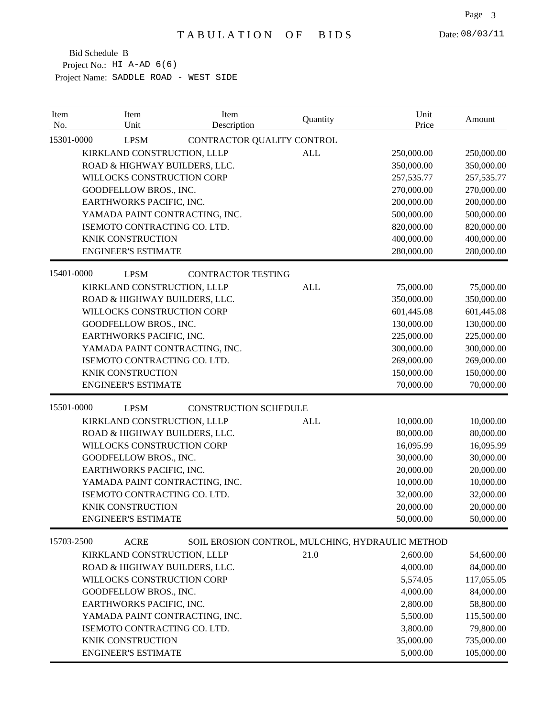| Item<br>No. | Item<br>Unit                   | Item<br>Description          | Quantity   | Unit<br>Price                                    | Amount       |
|-------------|--------------------------------|------------------------------|------------|--------------------------------------------------|--------------|
| 15301-0000  | <b>LPSM</b>                    | CONTRACTOR QUALITY CONTROL   |            |                                                  |              |
|             | KIRKLAND CONSTRUCTION, LLLP    |                              | <b>ALL</b> | 250,000.00                                       | 250,000.00   |
|             | ROAD & HIGHWAY BUILDERS, LLC.  |                              |            | 350,000.00                                       | 350,000.00   |
|             | WILLOCKS CONSTRUCTION CORP     |                              |            | 257,535.77                                       | 257, 535. 77 |
|             | GOODFELLOW BROS., INC.         |                              |            | 270,000.00                                       | 270,000.00   |
|             | EARTHWORKS PACIFIC, INC.       |                              |            | 200,000.00                                       | 200,000.00   |
|             | YAMADA PAINT CONTRACTING, INC. |                              |            | 500,000.00                                       | 500,000.00   |
|             | ISEMOTO CONTRACTING CO. LTD.   |                              |            | 820,000.00                                       | 820,000.00   |
|             | KNIK CONSTRUCTION              |                              |            | 400,000.00                                       | 400,000.00   |
|             | <b>ENGINEER'S ESTIMATE</b>     |                              |            | 280,000.00                                       | 280,000.00   |
| 15401-0000  | <b>LPSM</b>                    | <b>CONTRACTOR TESTING</b>    |            |                                                  |              |
|             | KIRKLAND CONSTRUCTION, LLLP    |                              | <b>ALL</b> | 75,000.00                                        | 75,000.00    |
|             | ROAD & HIGHWAY BUILDERS, LLC.  |                              |            | 350,000.00                                       | 350,000.00   |
|             | WILLOCKS CONSTRUCTION CORP     |                              |            | 601,445.08                                       | 601,445.08   |
|             | GOODFELLOW BROS., INC.         |                              |            | 130,000.00                                       | 130,000.00   |
|             | EARTHWORKS PACIFIC, INC.       |                              |            | 225,000.00                                       | 225,000.00   |
|             | YAMADA PAINT CONTRACTING, INC. |                              |            | 300,000.00                                       | 300,000.00   |
|             | ISEMOTO CONTRACTING CO. LTD.   |                              |            | 269,000.00                                       | 269,000.00   |
|             | <b>KNIK CONSTRUCTION</b>       |                              |            | 150,000.00                                       | 150,000.00   |
|             | <b>ENGINEER'S ESTIMATE</b>     |                              |            | 70,000.00                                        | 70,000.00    |
| 15501-0000  | <b>LPSM</b>                    | <b>CONSTRUCTION SCHEDULE</b> |            |                                                  |              |
|             | KIRKLAND CONSTRUCTION, LLLP    |                              | <b>ALL</b> | 10,000.00                                        | 10,000.00    |
|             | ROAD & HIGHWAY BUILDERS, LLC.  |                              |            | 80,000.00                                        | 80,000.00    |
|             | WILLOCKS CONSTRUCTION CORP     |                              |            | 16,095.99                                        | 16,095.99    |
|             | GOODFELLOW BROS., INC.         |                              |            | 30,000.00                                        | 30,000.00    |
|             | EARTHWORKS PACIFIC, INC.       |                              |            | 20,000.00                                        | 20,000.00    |
|             | YAMADA PAINT CONTRACTING, INC. |                              |            | 10,000.00                                        | 10,000.00    |
|             | ISEMOTO CONTRACTING CO. LTD.   |                              |            | 32,000.00                                        | 32,000.00    |
|             | KNIK CONSTRUCTION              |                              |            | 20,000.00                                        | 20,000.00    |
|             | <b>ENGINEER'S ESTIMATE</b>     |                              |            | 50,000.00                                        | 50,000.00    |
| 15703-2500  | <b>ACRE</b>                    |                              |            | SOIL EROSION CONTROL, MULCHING, HYDRAULIC METHOD |              |
|             | KIRKLAND CONSTRUCTION, LLLP    |                              | 21.0       | 2,600.00                                         | 54,600.00    |
|             | ROAD & HIGHWAY BUILDERS, LLC.  |                              |            | 4,000.00                                         | 84,000.00    |
|             | WILLOCKS CONSTRUCTION CORP     |                              |            | 5,574.05                                         | 117,055.05   |
|             | GOODFELLOW BROS., INC.         |                              |            | 4,000.00                                         | 84,000.00    |
|             | EARTHWORKS PACIFIC, INC.       |                              |            | 2,800.00                                         | 58,800.00    |
|             | YAMADA PAINT CONTRACTING, INC. |                              |            | 5,500.00                                         | 115,500.00   |
|             | ISEMOTO CONTRACTING CO. LTD.   |                              |            | 3,800.00                                         | 79,800.00    |
|             | KNIK CONSTRUCTION              |                              |            | 35,000.00                                        | 735,000.00   |
|             | <b>ENGINEER'S ESTIMATE</b>     |                              |            | 5,000.00                                         | 105,000.00   |
|             |                                |                              |            |                                                  |              |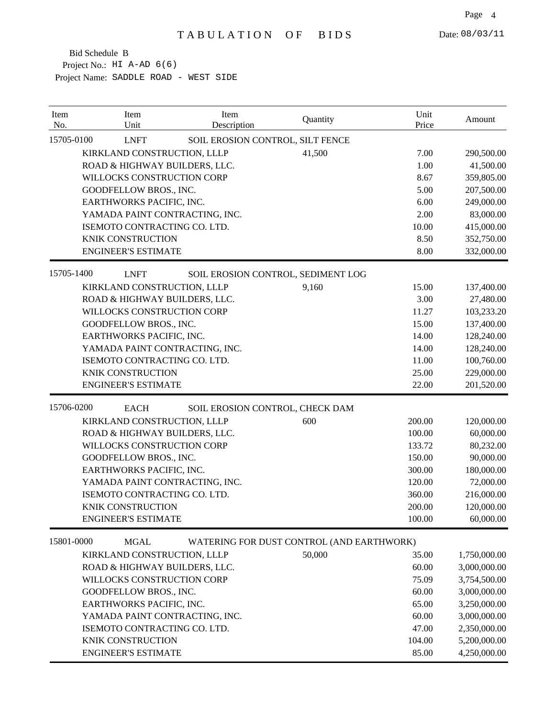| 15705-0100<br><b>LNFT</b><br>SOIL EROSION CONTROL, SILT FENCE<br>KIRKLAND CONSTRUCTION, LLLP<br>41,500<br>7.00<br>ROAD & HIGHWAY BUILDERS, LLC.<br>1.00<br>WILLOCKS CONSTRUCTION CORP<br>8.67<br>5.00<br>GOODFELLOW BROS., INC. | 290,500.00<br>41,500.00<br>359,805.00<br>207,500.00<br>249,000.00<br>83,000.00<br>415,000.00<br>352,750.00<br>332,000.00 |
|---------------------------------------------------------------------------------------------------------------------------------------------------------------------------------------------------------------------------------|--------------------------------------------------------------------------------------------------------------------------|
|                                                                                                                                                                                                                                 |                                                                                                                          |
|                                                                                                                                                                                                                                 |                                                                                                                          |
|                                                                                                                                                                                                                                 |                                                                                                                          |
|                                                                                                                                                                                                                                 |                                                                                                                          |
|                                                                                                                                                                                                                                 |                                                                                                                          |
| EARTHWORKS PACIFIC, INC.<br>6.00                                                                                                                                                                                                |                                                                                                                          |
| 2.00<br>YAMADA PAINT CONTRACTING, INC.                                                                                                                                                                                          |                                                                                                                          |
| ISEMOTO CONTRACTING CO. LTD.<br>10.00                                                                                                                                                                                           |                                                                                                                          |
| <b>KNIK CONSTRUCTION</b><br>8.50                                                                                                                                                                                                |                                                                                                                          |
| <b>ENGINEER'S ESTIMATE</b><br>8.00                                                                                                                                                                                              |                                                                                                                          |
| 15705-1400<br><b>LNFT</b><br>SOIL EROSION CONTROL, SEDIMENT LOG                                                                                                                                                                 |                                                                                                                          |
| KIRKLAND CONSTRUCTION, LLLP<br>9,160<br>15.00                                                                                                                                                                                   | 137,400.00                                                                                                               |
| ROAD & HIGHWAY BUILDERS, LLC.<br>3.00                                                                                                                                                                                           | 27,480.00                                                                                                                |
| WILLOCKS CONSTRUCTION CORP<br>11.27                                                                                                                                                                                             | 103,233.20                                                                                                               |
| <b>GOODFELLOW BROS., INC.</b><br>15.00                                                                                                                                                                                          | 137,400.00                                                                                                               |
| EARTHWORKS PACIFIC, INC.<br>14.00                                                                                                                                                                                               | 128,240.00                                                                                                               |
| YAMADA PAINT CONTRACTING, INC.<br>14.00                                                                                                                                                                                         | 128,240.00                                                                                                               |
| ISEMOTO CONTRACTING CO. LTD.<br>11.00                                                                                                                                                                                           | 100,760.00                                                                                                               |
| <b>KNIK CONSTRUCTION</b><br>25.00                                                                                                                                                                                               | 229,000.00                                                                                                               |
| <b>ENGINEER'S ESTIMATE</b><br>22.00                                                                                                                                                                                             | 201,520.00                                                                                                               |
| 15706-0200<br><b>EACH</b><br>SOIL EROSION CONTROL, CHECK DAM                                                                                                                                                                    |                                                                                                                          |
| KIRKLAND CONSTRUCTION, LLLP<br>600<br>200.00                                                                                                                                                                                    | 120,000.00                                                                                                               |
| ROAD & HIGHWAY BUILDERS, LLC.<br>100.00                                                                                                                                                                                         | 60,000.00                                                                                                                |
| WILLOCKS CONSTRUCTION CORP<br>133.72                                                                                                                                                                                            | 80,232.00                                                                                                                |
| GOODFELLOW BROS., INC.<br>150.00                                                                                                                                                                                                | 90,000.00                                                                                                                |
| EARTHWORKS PACIFIC, INC.<br>300.00                                                                                                                                                                                              | 180,000.00                                                                                                               |
| YAMADA PAINT CONTRACTING, INC.<br>120.00                                                                                                                                                                                        | 72,000.00                                                                                                                |
| ISEMOTO CONTRACTING CO. LTD.<br>360.00                                                                                                                                                                                          | 216,000.00                                                                                                               |
| <b>KNIK CONSTRUCTION</b><br>200.00                                                                                                                                                                                              | 120,000.00                                                                                                               |
| <b>ENGINEER'S ESTIMATE</b><br>100.00                                                                                                                                                                                            | 60,000.00                                                                                                                |
| 15801-0000<br><b>MGAL</b><br>WATERING FOR DUST CONTROL (AND EARTHWORK)                                                                                                                                                          |                                                                                                                          |
| KIRKLAND CONSTRUCTION, LLLP<br>50,000<br>35.00                                                                                                                                                                                  | 1,750,000.00                                                                                                             |
| 60.00<br>ROAD & HIGHWAY BUILDERS, LLC.                                                                                                                                                                                          | 3,000,000.00                                                                                                             |
| WILLOCKS CONSTRUCTION CORP<br>75.09                                                                                                                                                                                             | 3,754,500.00                                                                                                             |
| GOODFELLOW BROS., INC.<br>60.00                                                                                                                                                                                                 | 3,000,000.00                                                                                                             |
| EARTHWORKS PACIFIC, INC.<br>65.00                                                                                                                                                                                               | 3,250,000.00                                                                                                             |
| 60.00<br>YAMADA PAINT CONTRACTING, INC.                                                                                                                                                                                         | 3,000,000.00                                                                                                             |
| ISEMOTO CONTRACTING CO. LTD.<br>47.00                                                                                                                                                                                           | 2,350,000.00                                                                                                             |
| KNIK CONSTRUCTION<br>104.00                                                                                                                                                                                                     | 5,200,000.00                                                                                                             |
| <b>ENGINEER'S ESTIMATE</b><br>85.00                                                                                                                                                                                             | 4,250,000.00                                                                                                             |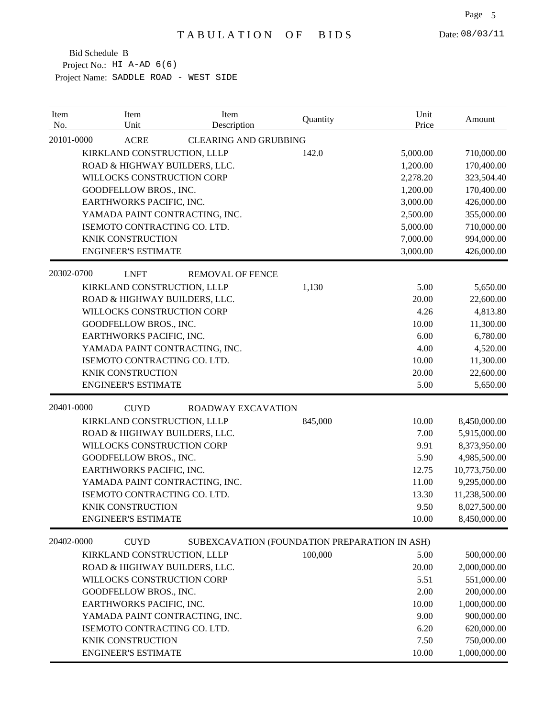| Item<br>No. | Item<br>Unit                   | Item<br>Description          | Quantity                                      | Unit<br>Price | Amount        |
|-------------|--------------------------------|------------------------------|-----------------------------------------------|---------------|---------------|
| 20101-0000  | <b>ACRE</b>                    | <b>CLEARING AND GRUBBING</b> |                                               |               |               |
|             | KIRKLAND CONSTRUCTION, LLLP    |                              | 142.0                                         | 5,000.00      | 710,000.00    |
|             | ROAD & HIGHWAY BUILDERS, LLC.  |                              |                                               | 1,200.00      | 170,400.00    |
|             | WILLOCKS CONSTRUCTION CORP     |                              |                                               | 2,278.20      | 323,504.40    |
|             | GOODFELLOW BROS., INC.         |                              |                                               | 1,200.00      | 170,400.00    |
|             | EARTHWORKS PACIFIC, INC.       |                              |                                               | 3,000.00      | 426,000.00    |
|             | YAMADA PAINT CONTRACTING, INC. |                              |                                               | 2,500.00      | 355,000.00    |
|             | ISEMOTO CONTRACTING CO. LTD.   |                              |                                               | 5,000.00      | 710,000.00    |
|             | KNIK CONSTRUCTION              |                              |                                               | 7,000.00      | 994,000.00    |
|             | <b>ENGINEER'S ESTIMATE</b>     |                              |                                               | 3,000.00      | 426,000.00    |
| 20302-0700  | <b>LNFT</b>                    | <b>REMOVAL OF FENCE</b>      |                                               |               |               |
|             | KIRKLAND CONSTRUCTION, LLLP    |                              | 1,130                                         | 5.00          | 5,650.00      |
|             | ROAD & HIGHWAY BUILDERS, LLC.  |                              |                                               | 20.00         | 22,600.00     |
|             | WILLOCKS CONSTRUCTION CORP     |                              |                                               | 4.26          | 4,813.80      |
|             | GOODFELLOW BROS., INC.         |                              |                                               | 10.00         | 11,300.00     |
|             | EARTHWORKS PACIFIC, INC.       |                              |                                               | 6.00          | 6,780.00      |
|             | YAMADA PAINT CONTRACTING, INC. |                              |                                               | 4.00          | 4,520.00      |
|             | ISEMOTO CONTRACTING CO. LTD.   |                              |                                               | 10.00         | 11,300.00     |
|             | <b>KNIK CONSTRUCTION</b>       |                              |                                               | 20.00         | 22,600.00     |
|             | <b>ENGINEER'S ESTIMATE</b>     |                              |                                               | 5.00          | 5,650.00      |
| 20401-0000  | <b>CUYD</b>                    | <b>ROADWAY EXCAVATION</b>    |                                               |               |               |
|             | KIRKLAND CONSTRUCTION, LLLP    |                              | 845,000                                       | 10.00         | 8,450,000.00  |
|             | ROAD & HIGHWAY BUILDERS, LLC.  |                              |                                               | 7.00          | 5,915,000.00  |
|             | WILLOCKS CONSTRUCTION CORP     |                              |                                               | 9.91          | 8,373,950.00  |
|             | GOODFELLOW BROS., INC.         |                              |                                               | 5.90          | 4,985,500.00  |
|             | EARTHWORKS PACIFIC, INC.       |                              |                                               | 12.75         | 10,773,750.00 |
|             | YAMADA PAINT CONTRACTING, INC. |                              |                                               | 11.00         | 9,295,000.00  |
|             | ISEMOTO CONTRACTING CO. LTD.   |                              |                                               | 13.30         | 11,238,500.00 |
|             | <b>KNIK CONSTRUCTION</b>       |                              |                                               | 9.50          | 8,027,500.00  |
|             | <b>ENGINEER'S ESTIMATE</b>     |                              |                                               | 10.00         | 8,450,000.00  |
| 20402-0000  | <b>CUYD</b>                    |                              | SUBEXCAVATION (FOUNDATION PREPARATION IN ASH) |               |               |
|             | KIRKLAND CONSTRUCTION, LLLP    |                              | 100,000                                       | 5.00          | 500,000.00    |
|             | ROAD & HIGHWAY BUILDERS, LLC.  |                              |                                               | 20.00         | 2,000,000.00  |
|             | WILLOCKS CONSTRUCTION CORP     |                              |                                               | 5.51          | 551,000.00    |
|             | GOODFELLOW BROS., INC.         |                              |                                               | 2.00          | 200,000.00    |
|             | EARTHWORKS PACIFIC, INC.       |                              |                                               | 10.00         | 1,000,000.00  |
|             | YAMADA PAINT CONTRACTING, INC. |                              |                                               | 9.00          | 900,000.00    |
|             | ISEMOTO CONTRACTING CO. LTD.   |                              |                                               | 6.20          | 620,000.00    |
|             | KNIK CONSTRUCTION              |                              |                                               | 7.50          | 750,000.00    |
|             | <b>ENGINEER'S ESTIMATE</b>     |                              |                                               | 10.00         | 1,000,000.00  |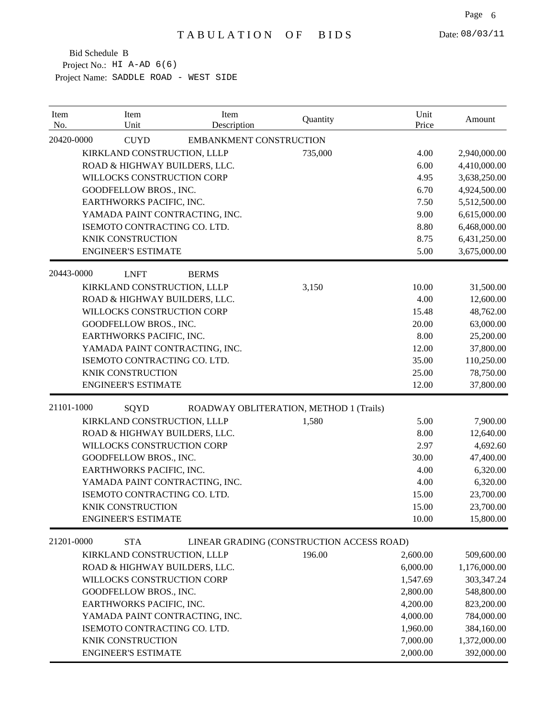| 20420-0000<br><b>EMBANKMENT CONSTRUCTION</b><br><b>CUYD</b><br>KIRKLAND CONSTRUCTION, LLLP<br>735,000<br>4.00<br>2,940,000.00<br>ROAD & HIGHWAY BUILDERS, LLC.<br>6.00<br>4,410,000.00<br>WILLOCKS CONSTRUCTION CORP<br>4.95<br>3,638,250.00<br>GOODFELLOW BROS., INC.<br>6.70<br>4,924,500.00<br>EARTHWORKS PACIFIC, INC.<br>7.50<br>5,512,500.00<br>YAMADA PAINT CONTRACTING, INC.<br>9.00<br>6,615,000.00<br>ISEMOTO CONTRACTING CO. LTD.<br>8.80<br>6,468,000.00<br>KNIK CONSTRUCTION<br>8.75<br>6,431,250.00<br><b>ENGINEER'S ESTIMATE</b><br>5.00<br>3,675,000.00<br>20443-0000<br><b>LNFT</b><br><b>BERMS</b><br>KIRKLAND CONSTRUCTION, LLLP<br>3,150<br>10.00<br>31,500.00<br>ROAD & HIGHWAY BUILDERS, LLC.<br>4.00<br>12,600.00<br>WILLOCKS CONSTRUCTION CORP<br>15.48<br>48,762.00<br>GOODFELLOW BROS., INC.<br>20.00<br>63,000.00<br>EARTHWORKS PACIFIC, INC.<br>8.00<br>25,200.00<br>YAMADA PAINT CONTRACTING, INC.<br>12.00<br>37,800.00<br>ISEMOTO CONTRACTING CO. LTD.<br>35.00<br>110,250.00<br><b>KNIK CONSTRUCTION</b><br>78,750.00<br>25.00<br><b>ENGINEER'S ESTIMATE</b><br>37,800.00<br>12.00<br>21101-1000<br>SQYD<br>ROADWAY OBLITERATION, METHOD 1 (Trails)<br>KIRKLAND CONSTRUCTION, LLLP<br>1,580<br>5.00<br>7,900.00<br>ROAD & HIGHWAY BUILDERS, LLC.<br>8.00<br>12,640.00<br>WILLOCKS CONSTRUCTION CORP<br>2.97<br>4,692.60<br>GOODFELLOW BROS., INC.<br>30.00<br>47,400.00<br>EARTHWORKS PACIFIC, INC.<br>6,320.00<br>4.00<br>YAMADA PAINT CONTRACTING, INC.<br>4.00<br>6,320.00<br>ISEMOTO CONTRACTING CO. LTD.<br>15.00<br>23,700.00<br>KNIK CONSTRUCTION<br>15.00<br>23,700.00<br><b>ENGINEER'S ESTIMATE</b><br>10.00<br>15,800.00<br>21201-0000<br><b>STA</b><br>LINEAR GRADING (CONSTRUCTION ACCESS ROAD)<br>196.00<br>509,600.00<br>KIRKLAND CONSTRUCTION, LLLP<br>2,600.00<br>ROAD & HIGHWAY BUILDERS, LLC.<br>6,000.00<br>1,176,000.00<br>WILLOCKS CONSTRUCTION CORP<br>1,547.69<br>303,347.24<br>2,800.00<br>548,800.00<br>GOODFELLOW BROS., INC.<br>EARTHWORKS PACIFIC, INC.<br>4,200.00<br>823,200.00<br>4,000.00<br>784,000.00<br>YAMADA PAINT CONTRACTING, INC.<br>ISEMOTO CONTRACTING CO. LTD.<br>1,960.00<br>384,160.00<br>7,000.00<br>KNIK CONSTRUCTION<br>1,372,000.00<br><b>ENGINEER'S ESTIMATE</b><br>2,000.00<br>392,000.00 | Item<br>No. | Item<br>Unit | Item<br>Description | Quantity | Unit<br>Price | Amount |
|------------------------------------------------------------------------------------------------------------------------------------------------------------------------------------------------------------------------------------------------------------------------------------------------------------------------------------------------------------------------------------------------------------------------------------------------------------------------------------------------------------------------------------------------------------------------------------------------------------------------------------------------------------------------------------------------------------------------------------------------------------------------------------------------------------------------------------------------------------------------------------------------------------------------------------------------------------------------------------------------------------------------------------------------------------------------------------------------------------------------------------------------------------------------------------------------------------------------------------------------------------------------------------------------------------------------------------------------------------------------------------------------------------------------------------------------------------------------------------------------------------------------------------------------------------------------------------------------------------------------------------------------------------------------------------------------------------------------------------------------------------------------------------------------------------------------------------------------------------------------------------------------------------------------------------------------------------------------------------------------------------------------------------------------------------------------------------------------------------------------------------------------------------------------------------------------------------------------------------------------------------------------------|-------------|--------------|---------------------|----------|---------------|--------|
|                                                                                                                                                                                                                                                                                                                                                                                                                                                                                                                                                                                                                                                                                                                                                                                                                                                                                                                                                                                                                                                                                                                                                                                                                                                                                                                                                                                                                                                                                                                                                                                                                                                                                                                                                                                                                                                                                                                                                                                                                                                                                                                                                                                                                                                                              |             |              |                     |          |               |        |
|                                                                                                                                                                                                                                                                                                                                                                                                                                                                                                                                                                                                                                                                                                                                                                                                                                                                                                                                                                                                                                                                                                                                                                                                                                                                                                                                                                                                                                                                                                                                                                                                                                                                                                                                                                                                                                                                                                                                                                                                                                                                                                                                                                                                                                                                              |             |              |                     |          |               |        |
|                                                                                                                                                                                                                                                                                                                                                                                                                                                                                                                                                                                                                                                                                                                                                                                                                                                                                                                                                                                                                                                                                                                                                                                                                                                                                                                                                                                                                                                                                                                                                                                                                                                                                                                                                                                                                                                                                                                                                                                                                                                                                                                                                                                                                                                                              |             |              |                     |          |               |        |
|                                                                                                                                                                                                                                                                                                                                                                                                                                                                                                                                                                                                                                                                                                                                                                                                                                                                                                                                                                                                                                                                                                                                                                                                                                                                                                                                                                                                                                                                                                                                                                                                                                                                                                                                                                                                                                                                                                                                                                                                                                                                                                                                                                                                                                                                              |             |              |                     |          |               |        |
|                                                                                                                                                                                                                                                                                                                                                                                                                                                                                                                                                                                                                                                                                                                                                                                                                                                                                                                                                                                                                                                                                                                                                                                                                                                                                                                                                                                                                                                                                                                                                                                                                                                                                                                                                                                                                                                                                                                                                                                                                                                                                                                                                                                                                                                                              |             |              |                     |          |               |        |
|                                                                                                                                                                                                                                                                                                                                                                                                                                                                                                                                                                                                                                                                                                                                                                                                                                                                                                                                                                                                                                                                                                                                                                                                                                                                                                                                                                                                                                                                                                                                                                                                                                                                                                                                                                                                                                                                                                                                                                                                                                                                                                                                                                                                                                                                              |             |              |                     |          |               |        |
|                                                                                                                                                                                                                                                                                                                                                                                                                                                                                                                                                                                                                                                                                                                                                                                                                                                                                                                                                                                                                                                                                                                                                                                                                                                                                                                                                                                                                                                                                                                                                                                                                                                                                                                                                                                                                                                                                                                                                                                                                                                                                                                                                                                                                                                                              |             |              |                     |          |               |        |
|                                                                                                                                                                                                                                                                                                                                                                                                                                                                                                                                                                                                                                                                                                                                                                                                                                                                                                                                                                                                                                                                                                                                                                                                                                                                                                                                                                                                                                                                                                                                                                                                                                                                                                                                                                                                                                                                                                                                                                                                                                                                                                                                                                                                                                                                              |             |              |                     |          |               |        |
|                                                                                                                                                                                                                                                                                                                                                                                                                                                                                                                                                                                                                                                                                                                                                                                                                                                                                                                                                                                                                                                                                                                                                                                                                                                                                                                                                                                                                                                                                                                                                                                                                                                                                                                                                                                                                                                                                                                                                                                                                                                                                                                                                                                                                                                                              |             |              |                     |          |               |        |
|                                                                                                                                                                                                                                                                                                                                                                                                                                                                                                                                                                                                                                                                                                                                                                                                                                                                                                                                                                                                                                                                                                                                                                                                                                                                                                                                                                                                                                                                                                                                                                                                                                                                                                                                                                                                                                                                                                                                                                                                                                                                                                                                                                                                                                                                              |             |              |                     |          |               |        |
|                                                                                                                                                                                                                                                                                                                                                                                                                                                                                                                                                                                                                                                                                                                                                                                                                                                                                                                                                                                                                                                                                                                                                                                                                                                                                                                                                                                                                                                                                                                                                                                                                                                                                                                                                                                                                                                                                                                                                                                                                                                                                                                                                                                                                                                                              |             |              |                     |          |               |        |
|                                                                                                                                                                                                                                                                                                                                                                                                                                                                                                                                                                                                                                                                                                                                                                                                                                                                                                                                                                                                                                                                                                                                                                                                                                                                                                                                                                                                                                                                                                                                                                                                                                                                                                                                                                                                                                                                                                                                                                                                                                                                                                                                                                                                                                                                              |             |              |                     |          |               |        |
|                                                                                                                                                                                                                                                                                                                                                                                                                                                                                                                                                                                                                                                                                                                                                                                                                                                                                                                                                                                                                                                                                                                                                                                                                                                                                                                                                                                                                                                                                                                                                                                                                                                                                                                                                                                                                                                                                                                                                                                                                                                                                                                                                                                                                                                                              |             |              |                     |          |               |        |
|                                                                                                                                                                                                                                                                                                                                                                                                                                                                                                                                                                                                                                                                                                                                                                                                                                                                                                                                                                                                                                                                                                                                                                                                                                                                                                                                                                                                                                                                                                                                                                                                                                                                                                                                                                                                                                                                                                                                                                                                                                                                                                                                                                                                                                                                              |             |              |                     |          |               |        |
|                                                                                                                                                                                                                                                                                                                                                                                                                                                                                                                                                                                                                                                                                                                                                                                                                                                                                                                                                                                                                                                                                                                                                                                                                                                                                                                                                                                                                                                                                                                                                                                                                                                                                                                                                                                                                                                                                                                                                                                                                                                                                                                                                                                                                                                                              |             |              |                     |          |               |        |
|                                                                                                                                                                                                                                                                                                                                                                                                                                                                                                                                                                                                                                                                                                                                                                                                                                                                                                                                                                                                                                                                                                                                                                                                                                                                                                                                                                                                                                                                                                                                                                                                                                                                                                                                                                                                                                                                                                                                                                                                                                                                                                                                                                                                                                                                              |             |              |                     |          |               |        |
|                                                                                                                                                                                                                                                                                                                                                                                                                                                                                                                                                                                                                                                                                                                                                                                                                                                                                                                                                                                                                                                                                                                                                                                                                                                                                                                                                                                                                                                                                                                                                                                                                                                                                                                                                                                                                                                                                                                                                                                                                                                                                                                                                                                                                                                                              |             |              |                     |          |               |        |
|                                                                                                                                                                                                                                                                                                                                                                                                                                                                                                                                                                                                                                                                                                                                                                                                                                                                                                                                                                                                                                                                                                                                                                                                                                                                                                                                                                                                                                                                                                                                                                                                                                                                                                                                                                                                                                                                                                                                                                                                                                                                                                                                                                                                                                                                              |             |              |                     |          |               |        |
|                                                                                                                                                                                                                                                                                                                                                                                                                                                                                                                                                                                                                                                                                                                                                                                                                                                                                                                                                                                                                                                                                                                                                                                                                                                                                                                                                                                                                                                                                                                                                                                                                                                                                                                                                                                                                                                                                                                                                                                                                                                                                                                                                                                                                                                                              |             |              |                     |          |               |        |
|                                                                                                                                                                                                                                                                                                                                                                                                                                                                                                                                                                                                                                                                                                                                                                                                                                                                                                                                                                                                                                                                                                                                                                                                                                                                                                                                                                                                                                                                                                                                                                                                                                                                                                                                                                                                                                                                                                                                                                                                                                                                                                                                                                                                                                                                              |             |              |                     |          |               |        |
|                                                                                                                                                                                                                                                                                                                                                                                                                                                                                                                                                                                                                                                                                                                                                                                                                                                                                                                                                                                                                                                                                                                                                                                                                                                                                                                                                                                                                                                                                                                                                                                                                                                                                                                                                                                                                                                                                                                                                                                                                                                                                                                                                                                                                                                                              |             |              |                     |          |               |        |
|                                                                                                                                                                                                                                                                                                                                                                                                                                                                                                                                                                                                                                                                                                                                                                                                                                                                                                                                                                                                                                                                                                                                                                                                                                                                                                                                                                                                                                                                                                                                                                                                                                                                                                                                                                                                                                                                                                                                                                                                                                                                                                                                                                                                                                                                              |             |              |                     |          |               |        |
|                                                                                                                                                                                                                                                                                                                                                                                                                                                                                                                                                                                                                                                                                                                                                                                                                                                                                                                                                                                                                                                                                                                                                                                                                                                                                                                                                                                                                                                                                                                                                                                                                                                                                                                                                                                                                                                                                                                                                                                                                                                                                                                                                                                                                                                                              |             |              |                     |          |               |        |
|                                                                                                                                                                                                                                                                                                                                                                                                                                                                                                                                                                                                                                                                                                                                                                                                                                                                                                                                                                                                                                                                                                                                                                                                                                                                                                                                                                                                                                                                                                                                                                                                                                                                                                                                                                                                                                                                                                                                                                                                                                                                                                                                                                                                                                                                              |             |              |                     |          |               |        |
|                                                                                                                                                                                                                                                                                                                                                                                                                                                                                                                                                                                                                                                                                                                                                                                                                                                                                                                                                                                                                                                                                                                                                                                                                                                                                                                                                                                                                                                                                                                                                                                                                                                                                                                                                                                                                                                                                                                                                                                                                                                                                                                                                                                                                                                                              |             |              |                     |          |               |        |
|                                                                                                                                                                                                                                                                                                                                                                                                                                                                                                                                                                                                                                                                                                                                                                                                                                                                                                                                                                                                                                                                                                                                                                                                                                                                                                                                                                                                                                                                                                                                                                                                                                                                                                                                                                                                                                                                                                                                                                                                                                                                                                                                                                                                                                                                              |             |              |                     |          |               |        |
|                                                                                                                                                                                                                                                                                                                                                                                                                                                                                                                                                                                                                                                                                                                                                                                                                                                                                                                                                                                                                                                                                                                                                                                                                                                                                                                                                                                                                                                                                                                                                                                                                                                                                                                                                                                                                                                                                                                                                                                                                                                                                                                                                                                                                                                                              |             |              |                     |          |               |        |
|                                                                                                                                                                                                                                                                                                                                                                                                                                                                                                                                                                                                                                                                                                                                                                                                                                                                                                                                                                                                                                                                                                                                                                                                                                                                                                                                                                                                                                                                                                                                                                                                                                                                                                                                                                                                                                                                                                                                                                                                                                                                                                                                                                                                                                                                              |             |              |                     |          |               |        |
|                                                                                                                                                                                                                                                                                                                                                                                                                                                                                                                                                                                                                                                                                                                                                                                                                                                                                                                                                                                                                                                                                                                                                                                                                                                                                                                                                                                                                                                                                                                                                                                                                                                                                                                                                                                                                                                                                                                                                                                                                                                                                                                                                                                                                                                                              |             |              |                     |          |               |        |
|                                                                                                                                                                                                                                                                                                                                                                                                                                                                                                                                                                                                                                                                                                                                                                                                                                                                                                                                                                                                                                                                                                                                                                                                                                                                                                                                                                                                                                                                                                                                                                                                                                                                                                                                                                                                                                                                                                                                                                                                                                                                                                                                                                                                                                                                              |             |              |                     |          |               |        |
|                                                                                                                                                                                                                                                                                                                                                                                                                                                                                                                                                                                                                                                                                                                                                                                                                                                                                                                                                                                                                                                                                                                                                                                                                                                                                                                                                                                                                                                                                                                                                                                                                                                                                                                                                                                                                                                                                                                                                                                                                                                                                                                                                                                                                                                                              |             |              |                     |          |               |        |
|                                                                                                                                                                                                                                                                                                                                                                                                                                                                                                                                                                                                                                                                                                                                                                                                                                                                                                                                                                                                                                                                                                                                                                                                                                                                                                                                                                                                                                                                                                                                                                                                                                                                                                                                                                                                                                                                                                                                                                                                                                                                                                                                                                                                                                                                              |             |              |                     |          |               |        |
|                                                                                                                                                                                                                                                                                                                                                                                                                                                                                                                                                                                                                                                                                                                                                                                                                                                                                                                                                                                                                                                                                                                                                                                                                                                                                                                                                                                                                                                                                                                                                                                                                                                                                                                                                                                                                                                                                                                                                                                                                                                                                                                                                                                                                                                                              |             |              |                     |          |               |        |
|                                                                                                                                                                                                                                                                                                                                                                                                                                                                                                                                                                                                                                                                                                                                                                                                                                                                                                                                                                                                                                                                                                                                                                                                                                                                                                                                                                                                                                                                                                                                                                                                                                                                                                                                                                                                                                                                                                                                                                                                                                                                                                                                                                                                                                                                              |             |              |                     |          |               |        |
|                                                                                                                                                                                                                                                                                                                                                                                                                                                                                                                                                                                                                                                                                                                                                                                                                                                                                                                                                                                                                                                                                                                                                                                                                                                                                                                                                                                                                                                                                                                                                                                                                                                                                                                                                                                                                                                                                                                                                                                                                                                                                                                                                                                                                                                                              |             |              |                     |          |               |        |
|                                                                                                                                                                                                                                                                                                                                                                                                                                                                                                                                                                                                                                                                                                                                                                                                                                                                                                                                                                                                                                                                                                                                                                                                                                                                                                                                                                                                                                                                                                                                                                                                                                                                                                                                                                                                                                                                                                                                                                                                                                                                                                                                                                                                                                                                              |             |              |                     |          |               |        |
|                                                                                                                                                                                                                                                                                                                                                                                                                                                                                                                                                                                                                                                                                                                                                                                                                                                                                                                                                                                                                                                                                                                                                                                                                                                                                                                                                                                                                                                                                                                                                                                                                                                                                                                                                                                                                                                                                                                                                                                                                                                                                                                                                                                                                                                                              |             |              |                     |          |               |        |
|                                                                                                                                                                                                                                                                                                                                                                                                                                                                                                                                                                                                                                                                                                                                                                                                                                                                                                                                                                                                                                                                                                                                                                                                                                                                                                                                                                                                                                                                                                                                                                                                                                                                                                                                                                                                                                                                                                                                                                                                                                                                                                                                                                                                                                                                              |             |              |                     |          |               |        |
|                                                                                                                                                                                                                                                                                                                                                                                                                                                                                                                                                                                                                                                                                                                                                                                                                                                                                                                                                                                                                                                                                                                                                                                                                                                                                                                                                                                                                                                                                                                                                                                                                                                                                                                                                                                                                                                                                                                                                                                                                                                                                                                                                                                                                                                                              |             |              |                     |          |               |        |
|                                                                                                                                                                                                                                                                                                                                                                                                                                                                                                                                                                                                                                                                                                                                                                                                                                                                                                                                                                                                                                                                                                                                                                                                                                                                                                                                                                                                                                                                                                                                                                                                                                                                                                                                                                                                                                                                                                                                                                                                                                                                                                                                                                                                                                                                              |             |              |                     |          |               |        |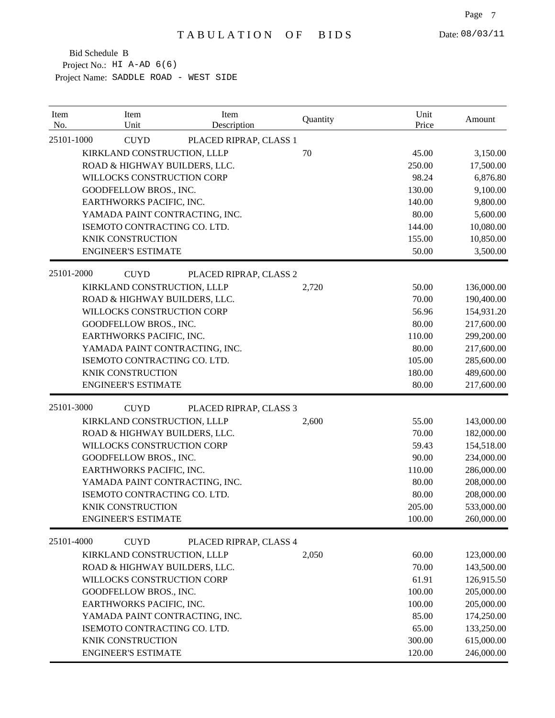| Description<br>25101-1000<br><b>CUYD</b><br>PLACED RIPRAP, CLASS 1<br>KIRKLAND CONSTRUCTION, LLLP<br>70<br>45.00<br>ROAD & HIGHWAY BUILDERS, LLC.<br>250.00<br>17,500.00<br>WILLOCKS CONSTRUCTION CORP<br>98.24<br>GOODFELLOW BROS., INC.<br>130.00<br>EARTHWORKS PACIFIC, INC.<br>140.00<br>YAMADA PAINT CONTRACTING, INC.<br>80.00<br>ISEMOTO CONTRACTING CO. LTD.<br>144.00<br>10,080.00<br>155.00<br>KNIK CONSTRUCTION<br>10,850.00<br><b>ENGINEER'S ESTIMATE</b><br>50.00<br>25101-2000<br><b>CUYD</b><br>PLACED RIPRAP, CLASS 2<br>KIRKLAND CONSTRUCTION, LLLP<br>50.00<br>2,720<br>136,000.00<br>ROAD & HIGHWAY BUILDERS, LLC.<br>70.00<br>190,400.00<br>WILLOCKS CONSTRUCTION CORP<br>56.96<br>154,931.20<br>GOODFELLOW BROS., INC.<br>80.00<br>217,600.00<br>EARTHWORKS PACIFIC, INC.<br>110.00<br>299,200.00<br>YAMADA PAINT CONTRACTING, INC.<br>80.00<br>217,600.00<br>ISEMOTO CONTRACTING CO. LTD.<br>105.00<br>285,600.00<br>KNIK CONSTRUCTION<br>180.00 | Amount     |
|------------------------------------------------------------------------------------------------------------------------------------------------------------------------------------------------------------------------------------------------------------------------------------------------------------------------------------------------------------------------------------------------------------------------------------------------------------------------------------------------------------------------------------------------------------------------------------------------------------------------------------------------------------------------------------------------------------------------------------------------------------------------------------------------------------------------------------------------------------------------------------------------------------------------------------------------------------------------|------------|
|                                                                                                                                                                                                                                                                                                                                                                                                                                                                                                                                                                                                                                                                                                                                                                                                                                                                                                                                                                        |            |
|                                                                                                                                                                                                                                                                                                                                                                                                                                                                                                                                                                                                                                                                                                                                                                                                                                                                                                                                                                        | 3,150.00   |
|                                                                                                                                                                                                                                                                                                                                                                                                                                                                                                                                                                                                                                                                                                                                                                                                                                                                                                                                                                        |            |
|                                                                                                                                                                                                                                                                                                                                                                                                                                                                                                                                                                                                                                                                                                                                                                                                                                                                                                                                                                        | 6,876.80   |
|                                                                                                                                                                                                                                                                                                                                                                                                                                                                                                                                                                                                                                                                                                                                                                                                                                                                                                                                                                        | 9,100.00   |
|                                                                                                                                                                                                                                                                                                                                                                                                                                                                                                                                                                                                                                                                                                                                                                                                                                                                                                                                                                        | 9,800.00   |
|                                                                                                                                                                                                                                                                                                                                                                                                                                                                                                                                                                                                                                                                                                                                                                                                                                                                                                                                                                        | 5,600.00   |
|                                                                                                                                                                                                                                                                                                                                                                                                                                                                                                                                                                                                                                                                                                                                                                                                                                                                                                                                                                        |            |
|                                                                                                                                                                                                                                                                                                                                                                                                                                                                                                                                                                                                                                                                                                                                                                                                                                                                                                                                                                        |            |
|                                                                                                                                                                                                                                                                                                                                                                                                                                                                                                                                                                                                                                                                                                                                                                                                                                                                                                                                                                        | 3,500.00   |
|                                                                                                                                                                                                                                                                                                                                                                                                                                                                                                                                                                                                                                                                                                                                                                                                                                                                                                                                                                        |            |
|                                                                                                                                                                                                                                                                                                                                                                                                                                                                                                                                                                                                                                                                                                                                                                                                                                                                                                                                                                        |            |
|                                                                                                                                                                                                                                                                                                                                                                                                                                                                                                                                                                                                                                                                                                                                                                                                                                                                                                                                                                        |            |
|                                                                                                                                                                                                                                                                                                                                                                                                                                                                                                                                                                                                                                                                                                                                                                                                                                                                                                                                                                        |            |
|                                                                                                                                                                                                                                                                                                                                                                                                                                                                                                                                                                                                                                                                                                                                                                                                                                                                                                                                                                        |            |
|                                                                                                                                                                                                                                                                                                                                                                                                                                                                                                                                                                                                                                                                                                                                                                                                                                                                                                                                                                        |            |
|                                                                                                                                                                                                                                                                                                                                                                                                                                                                                                                                                                                                                                                                                                                                                                                                                                                                                                                                                                        |            |
|                                                                                                                                                                                                                                                                                                                                                                                                                                                                                                                                                                                                                                                                                                                                                                                                                                                                                                                                                                        |            |
|                                                                                                                                                                                                                                                                                                                                                                                                                                                                                                                                                                                                                                                                                                                                                                                                                                                                                                                                                                        | 489,600.00 |
| <b>ENGINEER'S ESTIMATE</b><br>217,600.00<br>80.00                                                                                                                                                                                                                                                                                                                                                                                                                                                                                                                                                                                                                                                                                                                                                                                                                                                                                                                      |            |
| 25101-3000<br><b>CUYD</b><br>PLACED RIPRAP, CLASS 3                                                                                                                                                                                                                                                                                                                                                                                                                                                                                                                                                                                                                                                                                                                                                                                                                                                                                                                    |            |
| KIRKLAND CONSTRUCTION, LLLP<br>55.00<br>2,600<br>143,000.00                                                                                                                                                                                                                                                                                                                                                                                                                                                                                                                                                                                                                                                                                                                                                                                                                                                                                                            |            |
| ROAD & HIGHWAY BUILDERS, LLC.<br>70.00<br>182,000.00                                                                                                                                                                                                                                                                                                                                                                                                                                                                                                                                                                                                                                                                                                                                                                                                                                                                                                                   |            |
| WILLOCKS CONSTRUCTION CORP<br>59.43<br>154,518.00                                                                                                                                                                                                                                                                                                                                                                                                                                                                                                                                                                                                                                                                                                                                                                                                                                                                                                                      |            |
| GOODFELLOW BROS., INC.<br>90.00<br>234,000.00                                                                                                                                                                                                                                                                                                                                                                                                                                                                                                                                                                                                                                                                                                                                                                                                                                                                                                                          |            |
| EARTHWORKS PACIFIC, INC.<br>110.00<br>286,000.00                                                                                                                                                                                                                                                                                                                                                                                                                                                                                                                                                                                                                                                                                                                                                                                                                                                                                                                       |            |
| YAMADA PAINT CONTRACTING, INC.<br>80.00<br>208,000.00                                                                                                                                                                                                                                                                                                                                                                                                                                                                                                                                                                                                                                                                                                                                                                                                                                                                                                                  |            |
| ISEMOTO CONTRACTING CO. LTD.<br>80.00<br>208,000.00                                                                                                                                                                                                                                                                                                                                                                                                                                                                                                                                                                                                                                                                                                                                                                                                                                                                                                                    |            |
| KNIK CONSTRUCTION<br>205.00<br>533,000.00                                                                                                                                                                                                                                                                                                                                                                                                                                                                                                                                                                                                                                                                                                                                                                                                                                                                                                                              |            |
| 100.00<br>260,000.00<br><b>ENGINEER'S ESTIMATE</b>                                                                                                                                                                                                                                                                                                                                                                                                                                                                                                                                                                                                                                                                                                                                                                                                                                                                                                                     |            |
| 25101-4000<br><b>CUYD</b><br>PLACED RIPRAP, CLASS 4                                                                                                                                                                                                                                                                                                                                                                                                                                                                                                                                                                                                                                                                                                                                                                                                                                                                                                                    |            |
| KIRKLAND CONSTRUCTION, LLLP<br>60.00<br>2,050<br>123,000.00                                                                                                                                                                                                                                                                                                                                                                                                                                                                                                                                                                                                                                                                                                                                                                                                                                                                                                            |            |
| ROAD & HIGHWAY BUILDERS, LLC.<br>70.00<br>143,500.00                                                                                                                                                                                                                                                                                                                                                                                                                                                                                                                                                                                                                                                                                                                                                                                                                                                                                                                   |            |
| WILLOCKS CONSTRUCTION CORP<br>61.91<br>126,915.50                                                                                                                                                                                                                                                                                                                                                                                                                                                                                                                                                                                                                                                                                                                                                                                                                                                                                                                      |            |
| 100.00<br>GOODFELLOW BROS., INC.<br>205,000.00                                                                                                                                                                                                                                                                                                                                                                                                                                                                                                                                                                                                                                                                                                                                                                                                                                                                                                                         |            |
| EARTHWORKS PACIFIC, INC.<br>100.00<br>205,000.00                                                                                                                                                                                                                                                                                                                                                                                                                                                                                                                                                                                                                                                                                                                                                                                                                                                                                                                       |            |
| YAMADA PAINT CONTRACTING, INC.<br>85.00<br>174,250.00                                                                                                                                                                                                                                                                                                                                                                                                                                                                                                                                                                                                                                                                                                                                                                                                                                                                                                                  |            |
| ISEMOTO CONTRACTING CO. LTD.<br>65.00<br>133,250.00                                                                                                                                                                                                                                                                                                                                                                                                                                                                                                                                                                                                                                                                                                                                                                                                                                                                                                                    |            |
| 300.00<br>615,000.00<br>KNIK CONSTRUCTION                                                                                                                                                                                                                                                                                                                                                                                                                                                                                                                                                                                                                                                                                                                                                                                                                                                                                                                              |            |
| 246,000.00<br><b>ENGINEER'S ESTIMATE</b><br>120.00                                                                                                                                                                                                                                                                                                                                                                                                                                                                                                                                                                                                                                                                                                                                                                                                                                                                                                                     |            |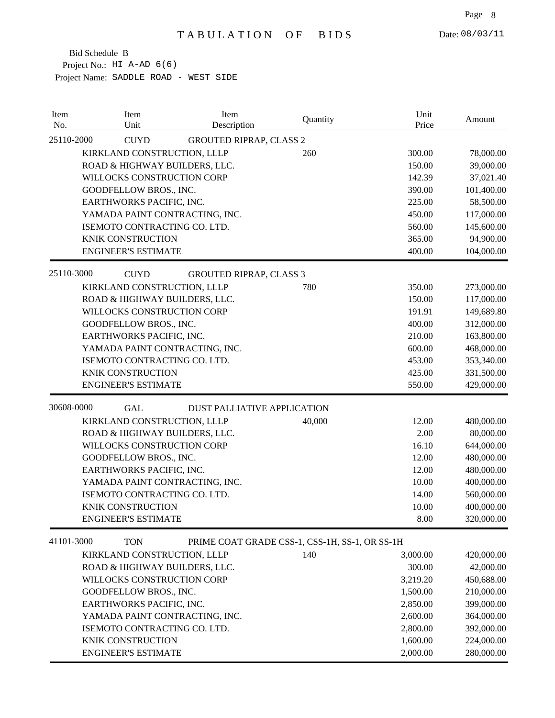| Item<br>No. | Item<br>Unit                   | Item<br>Description                            | Quantity | Unit<br>Price | Amount     |
|-------------|--------------------------------|------------------------------------------------|----------|---------------|------------|
| 25110-2000  | <b>CUYD</b>                    | <b>GROUTED RIPRAP, CLASS 2</b>                 |          |               |            |
|             | KIRKLAND CONSTRUCTION, LLLP    |                                                | 260      | 300.00        | 78,000.00  |
|             | ROAD & HIGHWAY BUILDERS, LLC.  |                                                |          | 150.00        | 39,000.00  |
|             | WILLOCKS CONSTRUCTION CORP     |                                                |          | 142.39        | 37,021.40  |
|             | GOODFELLOW BROS., INC.         |                                                |          | 390.00        | 101,400.00 |
|             | EARTHWORKS PACIFIC, INC.       |                                                |          | 225.00        | 58,500.00  |
|             | YAMADA PAINT CONTRACTING, INC. |                                                |          | 450.00        | 117,000.00 |
|             | ISEMOTO CONTRACTING CO. LTD.   |                                                |          | 560.00        | 145,600.00 |
|             | <b>KNIK CONSTRUCTION</b>       |                                                |          | 365.00        | 94,900.00  |
|             | <b>ENGINEER'S ESTIMATE</b>     |                                                |          | 400.00        | 104,000.00 |
| 25110-3000  | <b>CUYD</b>                    | <b>GROUTED RIPRAP, CLASS 3</b>                 |          |               |            |
|             | KIRKLAND CONSTRUCTION, LLLP    |                                                | 780      | 350.00        | 273,000.00 |
|             | ROAD & HIGHWAY BUILDERS, LLC.  |                                                |          | 150.00        | 117,000.00 |
|             | WILLOCKS CONSTRUCTION CORP     |                                                |          | 191.91        | 149,689.80 |
|             | GOODFELLOW BROS., INC.         |                                                |          | 400.00        | 312,000.00 |
|             | EARTHWORKS PACIFIC, INC.       |                                                |          | 210.00        | 163,800.00 |
|             | YAMADA PAINT CONTRACTING, INC. |                                                |          | 600.00        | 468,000.00 |
|             | ISEMOTO CONTRACTING CO. LTD.   |                                                |          | 453.00        | 353,340.00 |
|             | <b>KNIK CONSTRUCTION</b>       |                                                |          | 425.00        | 331,500.00 |
|             | <b>ENGINEER'S ESTIMATE</b>     |                                                |          | 550.00        | 429,000.00 |
| 30608-0000  | <b>GAL</b>                     | <b>DUST PALLIATIVE APPLICATION</b>             |          |               |            |
|             | KIRKLAND CONSTRUCTION, LLLP    |                                                | 40,000   | 12.00         | 480,000.00 |
|             | ROAD & HIGHWAY BUILDERS, LLC.  |                                                |          | 2.00          | 80,000.00  |
|             | WILLOCKS CONSTRUCTION CORP     |                                                |          | 16.10         | 644,000.00 |
|             | GOODFELLOW BROS., INC.         |                                                |          | 12.00         | 480,000.00 |
|             | EARTHWORKS PACIFIC, INC.       |                                                |          | 12.00         | 480,000.00 |
|             | YAMADA PAINT CONTRACTING, INC. |                                                |          | 10.00         | 400,000.00 |
|             | ISEMOTO CONTRACTING CO. LTD.   |                                                |          | 14.00         | 560,000.00 |
|             | <b>KNIK CONSTRUCTION</b>       |                                                |          | 10.00         | 400,000.00 |
|             | <b>ENGINEER'S ESTIMATE</b>     |                                                |          | 8.00          | 320,000.00 |
| 41101-3000  | <b>TON</b>                     | PRIME COAT GRADE CSS-1, CSS-1H, SS-1, OR SS-1H |          |               |            |
|             | KIRKLAND CONSTRUCTION, LLLP    |                                                | 140      | 3,000.00      | 420,000.00 |
|             | ROAD & HIGHWAY BUILDERS, LLC.  |                                                |          | 300.00        | 42,000.00  |
|             | WILLOCKS CONSTRUCTION CORP     |                                                |          | 3,219.20      | 450,688.00 |
|             | GOODFELLOW BROS., INC.         |                                                |          | 1,500.00      | 210,000.00 |
|             | EARTHWORKS PACIFIC, INC.       |                                                |          | 2,850.00      | 399,000.00 |
|             | YAMADA PAINT CONTRACTING, INC. |                                                |          | 2,600.00      | 364,000.00 |
|             | ISEMOTO CONTRACTING CO. LTD.   |                                                |          | 2,800.00      | 392,000.00 |
|             | KNIK CONSTRUCTION              |                                                |          | 1,600.00      | 224,000.00 |
|             | <b>ENGINEER'S ESTIMATE</b>     |                                                |          | 2,000.00      | 280,000.00 |
|             |                                |                                                |          |               |            |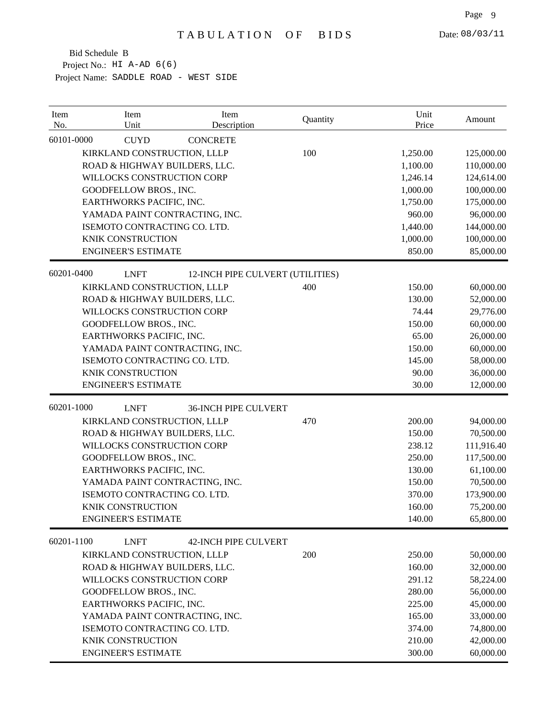| 60101-0000<br><b>CUYD</b><br><b>CONCRETE</b><br>KIRKLAND CONSTRUCTION, LLLP<br>100<br>1,250.00<br>ROAD & HIGHWAY BUILDERS, LLC.<br>1,100.00<br>WILLOCKS CONSTRUCTION CORP<br>1,246.14<br>GOODFELLOW BROS., INC.<br>1,000.00<br>EARTHWORKS PACIFIC, INC.<br>1,750.00<br>YAMADA PAINT CONTRACTING, INC.<br>960.00<br>ISEMOTO CONTRACTING CO. LTD.<br>1,440.00<br>KNIK CONSTRUCTION<br>1,000.00<br><b>ENGINEER'S ESTIMATE</b><br>850.00<br>60201-0400<br><b>LNFT</b><br>12-INCH PIPE CULVERT (UTILITIES)<br>KIRKLAND CONSTRUCTION, LLLP<br>400<br>150.00<br>ROAD & HIGHWAY BUILDERS, LLC.<br>130.00<br>WILLOCKS CONSTRUCTION CORP<br>74.44<br>GOODFELLOW BROS., INC.<br>150.00<br>65.00<br>EARTHWORKS PACIFIC, INC.<br>150.00<br>YAMADA PAINT CONTRACTING, INC.<br>ISEMOTO CONTRACTING CO. LTD.<br>145.00<br><b>KNIK CONSTRUCTION</b><br>90.00<br><b>ENGINEER'S ESTIMATE</b><br>30.00<br>60201-1000<br><b>LNFT</b><br><b>36-INCH PIPE CULVERT</b><br>KIRKLAND CONSTRUCTION, LLLP<br>470<br>200.00<br>ROAD & HIGHWAY BUILDERS, LLC.<br>150.00<br>WILLOCKS CONSTRUCTION CORP<br>238.12<br>GOODFELLOW BROS., INC.<br>250.00<br>EARTHWORKS PACIFIC, INC.<br>130.00<br>YAMADA PAINT CONTRACTING, INC.<br>150.00<br>ISEMOTO CONTRACTING CO. LTD.<br>370.00<br>KNIK CONSTRUCTION<br>160.00<br>140.00<br><b>ENGINEER'S ESTIMATE</b><br>60201-1100<br><b>LNFT</b><br><b>42-INCH PIPE CULVERT</b><br>KIRKLAND CONSTRUCTION, LLLP<br>200<br>250.00<br>ROAD & HIGHWAY BUILDERS, LLC.<br>160.00<br>WILLOCKS CONSTRUCTION CORP<br>291.12 | Item<br>No. | Item<br>Unit | Item<br>Description | Quantity | Unit<br>Price | Amount     |
|-------------------------------------------------------------------------------------------------------------------------------------------------------------------------------------------------------------------------------------------------------------------------------------------------------------------------------------------------------------------------------------------------------------------------------------------------------------------------------------------------------------------------------------------------------------------------------------------------------------------------------------------------------------------------------------------------------------------------------------------------------------------------------------------------------------------------------------------------------------------------------------------------------------------------------------------------------------------------------------------------------------------------------------------------------------------------------------------------------------------------------------------------------------------------------------------------------------------------------------------------------------------------------------------------------------------------------------------------------------------------------------------------------------------------------------------------------------------------------------------------------------------------|-------------|--------------|---------------------|----------|---------------|------------|
|                                                                                                                                                                                                                                                                                                                                                                                                                                                                                                                                                                                                                                                                                                                                                                                                                                                                                                                                                                                                                                                                                                                                                                                                                                                                                                                                                                                                                                                                                                                         |             |              |                     |          |               |            |
|                                                                                                                                                                                                                                                                                                                                                                                                                                                                                                                                                                                                                                                                                                                                                                                                                                                                                                                                                                                                                                                                                                                                                                                                                                                                                                                                                                                                                                                                                                                         |             |              |                     |          |               | 125,000.00 |
|                                                                                                                                                                                                                                                                                                                                                                                                                                                                                                                                                                                                                                                                                                                                                                                                                                                                                                                                                                                                                                                                                                                                                                                                                                                                                                                                                                                                                                                                                                                         |             |              |                     |          |               | 110,000.00 |
|                                                                                                                                                                                                                                                                                                                                                                                                                                                                                                                                                                                                                                                                                                                                                                                                                                                                                                                                                                                                                                                                                                                                                                                                                                                                                                                                                                                                                                                                                                                         |             |              |                     |          |               | 124,614.00 |
|                                                                                                                                                                                                                                                                                                                                                                                                                                                                                                                                                                                                                                                                                                                                                                                                                                                                                                                                                                                                                                                                                                                                                                                                                                                                                                                                                                                                                                                                                                                         |             |              |                     |          |               | 100,000.00 |
|                                                                                                                                                                                                                                                                                                                                                                                                                                                                                                                                                                                                                                                                                                                                                                                                                                                                                                                                                                                                                                                                                                                                                                                                                                                                                                                                                                                                                                                                                                                         |             |              |                     |          |               | 175,000.00 |
|                                                                                                                                                                                                                                                                                                                                                                                                                                                                                                                                                                                                                                                                                                                                                                                                                                                                                                                                                                                                                                                                                                                                                                                                                                                                                                                                                                                                                                                                                                                         |             |              |                     |          |               | 96,000.00  |
|                                                                                                                                                                                                                                                                                                                                                                                                                                                                                                                                                                                                                                                                                                                                                                                                                                                                                                                                                                                                                                                                                                                                                                                                                                                                                                                                                                                                                                                                                                                         |             |              |                     |          |               | 144,000.00 |
|                                                                                                                                                                                                                                                                                                                                                                                                                                                                                                                                                                                                                                                                                                                                                                                                                                                                                                                                                                                                                                                                                                                                                                                                                                                                                                                                                                                                                                                                                                                         |             |              |                     |          |               | 100,000.00 |
|                                                                                                                                                                                                                                                                                                                                                                                                                                                                                                                                                                                                                                                                                                                                                                                                                                                                                                                                                                                                                                                                                                                                                                                                                                                                                                                                                                                                                                                                                                                         |             |              |                     |          |               | 85,000.00  |
|                                                                                                                                                                                                                                                                                                                                                                                                                                                                                                                                                                                                                                                                                                                                                                                                                                                                                                                                                                                                                                                                                                                                                                                                                                                                                                                                                                                                                                                                                                                         |             |              |                     |          |               |            |
|                                                                                                                                                                                                                                                                                                                                                                                                                                                                                                                                                                                                                                                                                                                                                                                                                                                                                                                                                                                                                                                                                                                                                                                                                                                                                                                                                                                                                                                                                                                         |             |              |                     |          |               | 60,000.00  |
|                                                                                                                                                                                                                                                                                                                                                                                                                                                                                                                                                                                                                                                                                                                                                                                                                                                                                                                                                                                                                                                                                                                                                                                                                                                                                                                                                                                                                                                                                                                         |             |              |                     |          |               | 52,000.00  |
|                                                                                                                                                                                                                                                                                                                                                                                                                                                                                                                                                                                                                                                                                                                                                                                                                                                                                                                                                                                                                                                                                                                                                                                                                                                                                                                                                                                                                                                                                                                         |             |              |                     |          |               | 29,776.00  |
|                                                                                                                                                                                                                                                                                                                                                                                                                                                                                                                                                                                                                                                                                                                                                                                                                                                                                                                                                                                                                                                                                                                                                                                                                                                                                                                                                                                                                                                                                                                         |             |              |                     |          |               | 60,000.00  |
|                                                                                                                                                                                                                                                                                                                                                                                                                                                                                                                                                                                                                                                                                                                                                                                                                                                                                                                                                                                                                                                                                                                                                                                                                                                                                                                                                                                                                                                                                                                         |             |              |                     |          |               | 26,000.00  |
|                                                                                                                                                                                                                                                                                                                                                                                                                                                                                                                                                                                                                                                                                                                                                                                                                                                                                                                                                                                                                                                                                                                                                                                                                                                                                                                                                                                                                                                                                                                         |             |              |                     |          |               | 60,000.00  |
|                                                                                                                                                                                                                                                                                                                                                                                                                                                                                                                                                                                                                                                                                                                                                                                                                                                                                                                                                                                                                                                                                                                                                                                                                                                                                                                                                                                                                                                                                                                         |             |              |                     |          |               | 58,000.00  |
|                                                                                                                                                                                                                                                                                                                                                                                                                                                                                                                                                                                                                                                                                                                                                                                                                                                                                                                                                                                                                                                                                                                                                                                                                                                                                                                                                                                                                                                                                                                         |             |              |                     |          |               | 36,000.00  |
|                                                                                                                                                                                                                                                                                                                                                                                                                                                                                                                                                                                                                                                                                                                                                                                                                                                                                                                                                                                                                                                                                                                                                                                                                                                                                                                                                                                                                                                                                                                         |             |              |                     |          |               | 12,000.00  |
|                                                                                                                                                                                                                                                                                                                                                                                                                                                                                                                                                                                                                                                                                                                                                                                                                                                                                                                                                                                                                                                                                                                                                                                                                                                                                                                                                                                                                                                                                                                         |             |              |                     |          |               |            |
|                                                                                                                                                                                                                                                                                                                                                                                                                                                                                                                                                                                                                                                                                                                                                                                                                                                                                                                                                                                                                                                                                                                                                                                                                                                                                                                                                                                                                                                                                                                         |             |              |                     |          |               | 94,000.00  |
|                                                                                                                                                                                                                                                                                                                                                                                                                                                                                                                                                                                                                                                                                                                                                                                                                                                                                                                                                                                                                                                                                                                                                                                                                                                                                                                                                                                                                                                                                                                         |             |              |                     |          |               | 70,500.00  |
|                                                                                                                                                                                                                                                                                                                                                                                                                                                                                                                                                                                                                                                                                                                                                                                                                                                                                                                                                                                                                                                                                                                                                                                                                                                                                                                                                                                                                                                                                                                         |             |              |                     |          |               | 111,916.40 |
|                                                                                                                                                                                                                                                                                                                                                                                                                                                                                                                                                                                                                                                                                                                                                                                                                                                                                                                                                                                                                                                                                                                                                                                                                                                                                                                                                                                                                                                                                                                         |             |              |                     |          |               | 117,500.00 |
|                                                                                                                                                                                                                                                                                                                                                                                                                                                                                                                                                                                                                                                                                                                                                                                                                                                                                                                                                                                                                                                                                                                                                                                                                                                                                                                                                                                                                                                                                                                         |             |              |                     |          |               | 61,100.00  |
|                                                                                                                                                                                                                                                                                                                                                                                                                                                                                                                                                                                                                                                                                                                                                                                                                                                                                                                                                                                                                                                                                                                                                                                                                                                                                                                                                                                                                                                                                                                         |             |              |                     |          |               | 70,500.00  |
|                                                                                                                                                                                                                                                                                                                                                                                                                                                                                                                                                                                                                                                                                                                                                                                                                                                                                                                                                                                                                                                                                                                                                                                                                                                                                                                                                                                                                                                                                                                         |             |              |                     |          |               | 173,900.00 |
|                                                                                                                                                                                                                                                                                                                                                                                                                                                                                                                                                                                                                                                                                                                                                                                                                                                                                                                                                                                                                                                                                                                                                                                                                                                                                                                                                                                                                                                                                                                         |             |              |                     |          |               | 75,200.00  |
|                                                                                                                                                                                                                                                                                                                                                                                                                                                                                                                                                                                                                                                                                                                                                                                                                                                                                                                                                                                                                                                                                                                                                                                                                                                                                                                                                                                                                                                                                                                         |             |              |                     |          |               | 65,800.00  |
|                                                                                                                                                                                                                                                                                                                                                                                                                                                                                                                                                                                                                                                                                                                                                                                                                                                                                                                                                                                                                                                                                                                                                                                                                                                                                                                                                                                                                                                                                                                         |             |              |                     |          |               |            |
|                                                                                                                                                                                                                                                                                                                                                                                                                                                                                                                                                                                                                                                                                                                                                                                                                                                                                                                                                                                                                                                                                                                                                                                                                                                                                                                                                                                                                                                                                                                         |             |              |                     |          |               | 50,000.00  |
|                                                                                                                                                                                                                                                                                                                                                                                                                                                                                                                                                                                                                                                                                                                                                                                                                                                                                                                                                                                                                                                                                                                                                                                                                                                                                                                                                                                                                                                                                                                         |             |              |                     |          |               | 32,000.00  |
|                                                                                                                                                                                                                                                                                                                                                                                                                                                                                                                                                                                                                                                                                                                                                                                                                                                                                                                                                                                                                                                                                                                                                                                                                                                                                                                                                                                                                                                                                                                         |             |              |                     |          |               | 58,224.00  |
| 280.00<br>GOODFELLOW BROS., INC.                                                                                                                                                                                                                                                                                                                                                                                                                                                                                                                                                                                                                                                                                                                                                                                                                                                                                                                                                                                                                                                                                                                                                                                                                                                                                                                                                                                                                                                                                        |             |              |                     |          |               | 56,000.00  |
| 225.00<br>EARTHWORKS PACIFIC, INC.                                                                                                                                                                                                                                                                                                                                                                                                                                                                                                                                                                                                                                                                                                                                                                                                                                                                                                                                                                                                                                                                                                                                                                                                                                                                                                                                                                                                                                                                                      |             |              |                     |          |               | 45,000.00  |
| YAMADA PAINT CONTRACTING, INC.<br>165.00                                                                                                                                                                                                                                                                                                                                                                                                                                                                                                                                                                                                                                                                                                                                                                                                                                                                                                                                                                                                                                                                                                                                                                                                                                                                                                                                                                                                                                                                                |             |              |                     |          |               | 33,000.00  |
| ISEMOTO CONTRACTING CO. LTD.<br>374.00                                                                                                                                                                                                                                                                                                                                                                                                                                                                                                                                                                                                                                                                                                                                                                                                                                                                                                                                                                                                                                                                                                                                                                                                                                                                                                                                                                                                                                                                                  |             |              |                     |          |               | 74,800.00  |
| KNIK CONSTRUCTION<br>210.00                                                                                                                                                                                                                                                                                                                                                                                                                                                                                                                                                                                                                                                                                                                                                                                                                                                                                                                                                                                                                                                                                                                                                                                                                                                                                                                                                                                                                                                                                             |             |              |                     |          |               | 42,000.00  |
| <b>ENGINEER'S ESTIMATE</b><br>300.00                                                                                                                                                                                                                                                                                                                                                                                                                                                                                                                                                                                                                                                                                                                                                                                                                                                                                                                                                                                                                                                                                                                                                                                                                                                                                                                                                                                                                                                                                    |             |              |                     |          |               | 60,000.00  |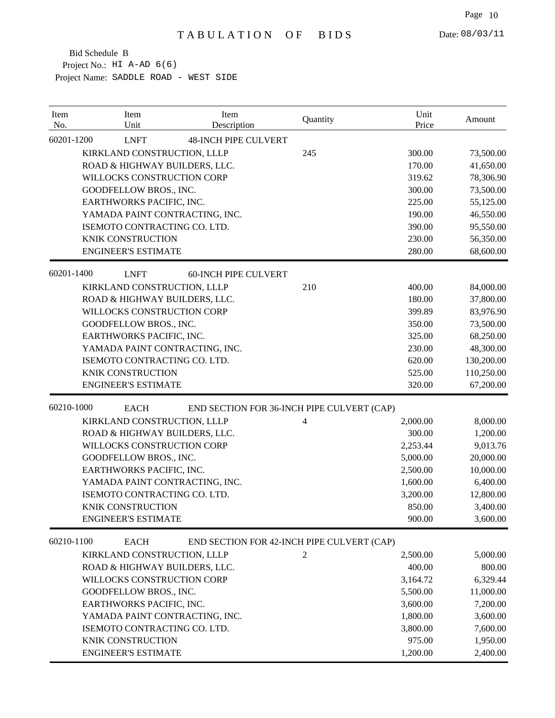| Item<br>No. | Item<br>Unit                   | Item<br>Description         | Quantity                                   | Unit<br>Price | Amount     |
|-------------|--------------------------------|-----------------------------|--------------------------------------------|---------------|------------|
| 60201-1200  | <b>LNFT</b>                    | <b>48-INCH PIPE CULVERT</b> |                                            |               |            |
|             | KIRKLAND CONSTRUCTION, LLLP    |                             | 245                                        | 300.00        | 73,500.00  |
|             | ROAD & HIGHWAY BUILDERS, LLC.  |                             |                                            | 170.00        | 41,650.00  |
|             | WILLOCKS CONSTRUCTION CORP     |                             |                                            | 319.62        | 78,306.90  |
|             | GOODFELLOW BROS., INC.         |                             |                                            | 300.00        | 73,500.00  |
|             | EARTHWORKS PACIFIC, INC.       |                             |                                            | 225.00        | 55,125.00  |
|             | YAMADA PAINT CONTRACTING, INC. |                             |                                            | 190.00        | 46,550.00  |
|             | ISEMOTO CONTRACTING CO. LTD.   |                             |                                            | 390.00        | 95,550.00  |
|             | <b>KNIK CONSTRUCTION</b>       |                             |                                            | 230.00        | 56,350.00  |
|             | <b>ENGINEER'S ESTIMATE</b>     |                             |                                            | 280.00        | 68,600.00  |
| 60201-1400  | <b>LNFT</b>                    | <b>60-INCH PIPE CULVERT</b> |                                            |               |            |
|             | KIRKLAND CONSTRUCTION, LLLP    |                             | 210                                        | 400.00        | 84,000.00  |
|             | ROAD & HIGHWAY BUILDERS, LLC.  |                             |                                            | 180.00        | 37,800.00  |
|             | WILLOCKS CONSTRUCTION CORP     |                             |                                            | 399.89        | 83,976.90  |
|             | GOODFELLOW BROS., INC.         |                             |                                            | 350.00        | 73,500.00  |
|             | EARTHWORKS PACIFIC, INC.       |                             |                                            | 325.00        | 68,250.00  |
|             | YAMADA PAINT CONTRACTING, INC. |                             |                                            | 230.00        | 48,300.00  |
|             | ISEMOTO CONTRACTING CO. LTD.   |                             |                                            | 620.00        | 130,200.00 |
|             | <b>KNIK CONSTRUCTION</b>       |                             |                                            | 525.00        | 110,250.00 |
|             | <b>ENGINEER'S ESTIMATE</b>     |                             |                                            | 320.00        | 67,200.00  |
| 60210-1000  | <b>EACH</b>                    |                             | END SECTION FOR 36-INCH PIPE CULVERT (CAP) |               |            |
|             | KIRKLAND CONSTRUCTION, LLLP    |                             | $\overline{4}$                             | 2,000.00      | 8,000.00   |
|             | ROAD & HIGHWAY BUILDERS, LLC.  |                             |                                            | 300.00        | 1,200.00   |
|             | WILLOCKS CONSTRUCTION CORP     |                             |                                            | 2,253.44      | 9,013.76   |
|             | GOODFELLOW BROS., INC.         |                             |                                            | 5,000.00      | 20,000.00  |
|             | EARTHWORKS PACIFIC, INC.       |                             |                                            | 2,500.00      | 10,000.00  |
|             | YAMADA PAINT CONTRACTING, INC. |                             |                                            | 1,600.00      | 6,400.00   |
|             | ISEMOTO CONTRACTING CO. LTD.   |                             |                                            | 3,200.00      | 12,800.00  |
|             | <b>KNIK CONSTRUCTION</b>       |                             |                                            | 850.00        | 3,400.00   |
|             | <b>ENGINEER'S ESTIMATE</b>     |                             |                                            | 900.00        | 3,600.00   |
| 60210-1100  | <b>EACH</b>                    |                             | END SECTION FOR 42-INCH PIPE CULVERT (CAP) |               |            |
|             | KIRKLAND CONSTRUCTION, LLLP    |                             | 2                                          | 2,500.00      | 5,000.00   |
|             | ROAD & HIGHWAY BUILDERS, LLC.  |                             |                                            | 400.00        | 800.00     |
|             | WILLOCKS CONSTRUCTION CORP     |                             |                                            | 3,164.72      | 6,329.44   |
|             | GOODFELLOW BROS., INC.         |                             |                                            | 5,500.00      | 11,000.00  |
|             | EARTHWORKS PACIFIC, INC.       |                             |                                            | 3,600.00      | 7,200.00   |
|             | YAMADA PAINT CONTRACTING, INC. |                             |                                            | 1,800.00      | 3,600.00   |
|             | ISEMOTO CONTRACTING CO. LTD.   |                             |                                            | 3,800.00      | 7,600.00   |
|             | KNIK CONSTRUCTION              |                             |                                            | 975.00        | 1,950.00   |
|             | <b>ENGINEER'S ESTIMATE</b>     |                             |                                            | 1,200.00      | 2,400.00   |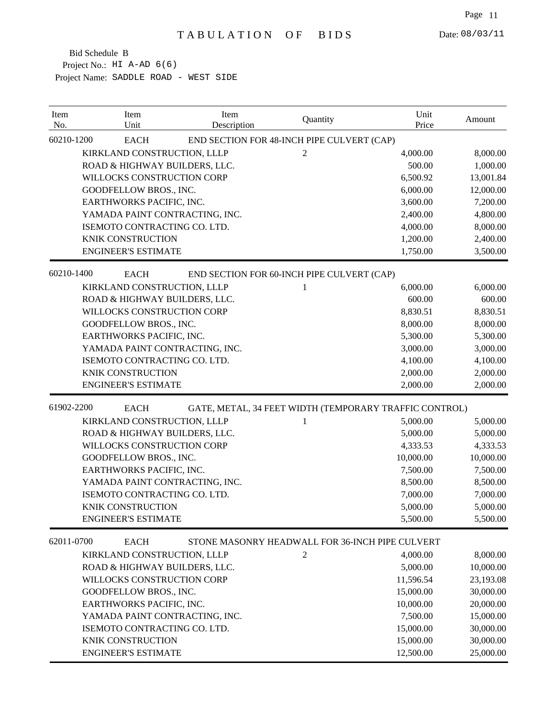| Item<br>No. | Item<br>Unit                   | Item<br>Description                                    | Quantity       | Unit<br>Price | Amount    |
|-------------|--------------------------------|--------------------------------------------------------|----------------|---------------|-----------|
| 60210-1200  | <b>EACH</b>                    | END SECTION FOR 48-INCH PIPE CULVERT (CAP)             |                |               |           |
|             | KIRKLAND CONSTRUCTION, LLLP    |                                                        | $\overline{c}$ | 4,000.00      | 8,000.00  |
|             | ROAD & HIGHWAY BUILDERS, LLC.  |                                                        |                | 500.00        | 1,000.00  |
|             | WILLOCKS CONSTRUCTION CORP     |                                                        |                | 6,500.92      | 13,001.84 |
|             | GOODFELLOW BROS., INC.         |                                                        |                | 6,000.00      | 12,000.00 |
|             | EARTHWORKS PACIFIC, INC.       |                                                        |                | 3,600.00      | 7,200.00  |
|             | YAMADA PAINT CONTRACTING, INC. |                                                        |                | 2,400.00      | 4,800.00  |
|             | ISEMOTO CONTRACTING CO. LTD.   |                                                        |                | 4,000.00      | 8,000.00  |
|             | <b>KNIK CONSTRUCTION</b>       |                                                        |                | 1,200.00      | 2,400.00  |
|             | <b>ENGINEER'S ESTIMATE</b>     |                                                        |                | 1,750.00      | 3,500.00  |
| 60210-1400  | <b>EACH</b>                    | END SECTION FOR 60-INCH PIPE CULVERT (CAP)             |                |               |           |
|             | KIRKLAND CONSTRUCTION, LLLP    |                                                        | 1              | 6,000.00      | 6,000.00  |
|             | ROAD & HIGHWAY BUILDERS, LLC.  |                                                        |                | 600.00        | 600.00    |
|             | WILLOCKS CONSTRUCTION CORP     |                                                        |                | 8,830.51      | 8,830.51  |
|             | GOODFELLOW BROS., INC.         |                                                        |                | 8,000.00      | 8,000.00  |
|             | EARTHWORKS PACIFIC, INC.       |                                                        |                | 5,300.00      | 5,300.00  |
|             | YAMADA PAINT CONTRACTING, INC. |                                                        |                | 3,000.00      | 3,000.00  |
|             | ISEMOTO CONTRACTING CO. LTD.   |                                                        |                | 4,100.00      | 4,100.00  |
|             | <b>KNIK CONSTRUCTION</b>       |                                                        |                | 2,000.00      | 2,000.00  |
|             | <b>ENGINEER'S ESTIMATE</b>     |                                                        |                | 2,000.00      | 2,000.00  |
| 61902-2200  | <b>EACH</b>                    | GATE, METAL, 34 FEET WIDTH (TEMPORARY TRAFFIC CONTROL) |                |               |           |
|             | KIRKLAND CONSTRUCTION, LLLP    |                                                        | 1              | 5,000.00      | 5,000.00  |
|             | ROAD & HIGHWAY BUILDERS, LLC.  |                                                        |                | 5,000.00      | 5,000.00  |
|             | WILLOCKS CONSTRUCTION CORP     |                                                        |                | 4,333.53      | 4,333.53  |
|             | GOODFELLOW BROS., INC.         |                                                        |                | 10,000.00     | 10,000.00 |
|             | EARTHWORKS PACIFIC, INC.       |                                                        |                | 7,500.00      | 7,500.00  |
|             | YAMADA PAINT CONTRACTING, INC. |                                                        |                | 8,500.00      | 8,500.00  |
|             | ISEMOTO CONTRACTING CO. LTD.   |                                                        |                | 7,000.00      | 7,000.00  |
|             | KNIK CONSTRUCTION              |                                                        |                | 5,000.00      | 5,000.00  |
|             | <b>ENGINEER'S ESTIMATE</b>     |                                                        |                | 5,500.00      | 5,500.00  |
| 62011-0700  | <b>EACH</b>                    | STONE MASONRY HEADWALL FOR 36-INCH PIPE CULVERT        |                |               |           |
|             | KIRKLAND CONSTRUCTION, LLLP    |                                                        | $\mathfrak{2}$ | 4,000.00      | 8,000.00  |
|             | ROAD & HIGHWAY BUILDERS, LLC.  |                                                        |                | 5,000.00      | 10,000.00 |
|             | WILLOCKS CONSTRUCTION CORP     |                                                        |                | 11,596.54     | 23,193.08 |
|             | GOODFELLOW BROS., INC.         |                                                        |                | 15,000.00     | 30,000.00 |
|             | EARTHWORKS PACIFIC, INC.       |                                                        |                | 10,000.00     | 20,000.00 |
|             | YAMADA PAINT CONTRACTING, INC. |                                                        |                | 7,500.00      | 15,000.00 |
|             | ISEMOTO CONTRACTING CO. LTD.   |                                                        |                | 15,000.00     | 30,000.00 |
|             | KNIK CONSTRUCTION              |                                                        |                | 15,000.00     | 30,000.00 |
|             | <b>ENGINEER'S ESTIMATE</b>     |                                                        |                | 12,500.00     | 25,000.00 |
|             |                                |                                                        |                |               |           |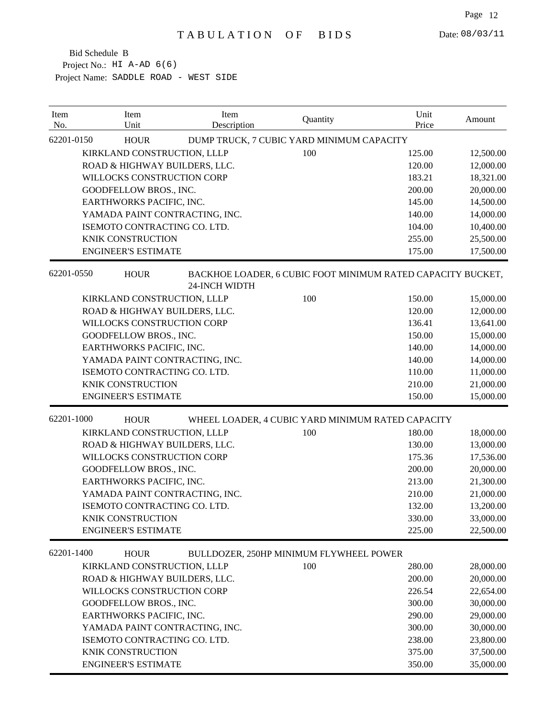| 62201-0150<br>DUMP TRUCK, 7 CUBIC YARD MINIMUM CAPACITY<br><b>HOUR</b><br>KIRKLAND CONSTRUCTION, LLLP<br>100<br>125.00<br>12,500.00<br>ROAD & HIGHWAY BUILDERS, LLC.<br>120.00<br>12,000.00<br>WILLOCKS CONSTRUCTION CORP<br>183.21<br>18,321.00<br>GOODFELLOW BROS., INC.<br>200.00<br>20,000.00<br>EARTHWORKS PACIFIC, INC.<br>145.00<br>14,500.00<br>YAMADA PAINT CONTRACTING, INC.<br>140.00<br>14,000.00<br>ISEMOTO CONTRACTING CO. LTD.<br>104.00<br>10,400.00<br>255.00<br>25,500.00<br>KNIK CONSTRUCTION<br>17,500.00<br><b>ENGINEER'S ESTIMATE</b><br>175.00<br>62201-0550<br><b>HOUR</b><br>BACKHOE LOADER, 6 CUBIC FOOT MINIMUM RATED CAPACITY BUCKET,<br><b>24-INCH WIDTH</b><br>100<br>150.00<br>KIRKLAND CONSTRUCTION, LLLP<br>15,000.00<br>ROAD & HIGHWAY BUILDERS, LLC.<br>120.00<br>12,000.00<br>WILLOCKS CONSTRUCTION CORP<br>136.41<br>13,641.00<br>GOODFELLOW BROS., INC.<br>150.00<br>15,000.00<br>EARTHWORKS PACIFIC, INC.<br>140.00<br>14,000.00<br>YAMADA PAINT CONTRACTING, INC.<br>140.00<br>14,000.00<br>ISEMOTO CONTRACTING CO. LTD.<br>110.00<br>11,000.00<br>KNIK CONSTRUCTION<br>210.00<br>21,000.00<br><b>ENGINEER'S ESTIMATE</b><br>150.00<br>15,000.00<br>62201-1000<br><b>HOUR</b><br>WHEEL LOADER, 4 CUBIC YARD MINIMUM RATED CAPACITY<br>100<br>KIRKLAND CONSTRUCTION, LLLP<br>180.00<br>18,000.00<br>ROAD & HIGHWAY BUILDERS, LLC.<br>130.00<br>13,000.00<br>WILLOCKS CONSTRUCTION CORP<br>175.36<br>17,536.00<br>GOODFELLOW BROS., INC.<br>200.00<br>20,000.00<br>EARTHWORKS PACIFIC, INC.<br>213.00<br>21,300.00<br>YAMADA PAINT CONTRACTING, INC.<br>210.00<br>21,000.00<br>ISEMOTO CONTRACTING CO. LTD.<br>132.00<br>13,200.00<br>KNIK CONSTRUCTION<br>330.00<br>33,000.00<br><b>ENGINEER'S ESTIMATE</b><br>225.00<br>22,500.00<br>62201-1400<br><b>HOUR</b><br>BULLDOZER, 250HP MINIMUM FLYWHEEL POWER<br>KIRKLAND CONSTRUCTION, LLLP<br>100<br>280.00<br>28,000.00<br>ROAD & HIGHWAY BUILDERS, LLC.<br>200.00<br>20,000.00<br>WILLOCKS CONSTRUCTION CORP<br>226.54<br>22,654.00<br>GOODFELLOW BROS., INC.<br>300.00<br>30,000.00<br>EARTHWORKS PACIFIC, INC.<br>290.00<br>29,000.00<br>300.00<br>30,000.00<br>YAMADA PAINT CONTRACTING, INC.<br>ISEMOTO CONTRACTING CO. LTD.<br>238.00<br>23,800.00<br>KNIK CONSTRUCTION<br>375.00<br>37,500.00<br><b>ENGINEER'S ESTIMATE</b><br>350.00<br>35,000.00 | Item<br>No. | Item<br>Unit | Item<br>Description | Quantity | Unit<br>Price | Amount |
|--------------------------------------------------------------------------------------------------------------------------------------------------------------------------------------------------------------------------------------------------------------------------------------------------------------------------------------------------------------------------------------------------------------------------------------------------------------------------------------------------------------------------------------------------------------------------------------------------------------------------------------------------------------------------------------------------------------------------------------------------------------------------------------------------------------------------------------------------------------------------------------------------------------------------------------------------------------------------------------------------------------------------------------------------------------------------------------------------------------------------------------------------------------------------------------------------------------------------------------------------------------------------------------------------------------------------------------------------------------------------------------------------------------------------------------------------------------------------------------------------------------------------------------------------------------------------------------------------------------------------------------------------------------------------------------------------------------------------------------------------------------------------------------------------------------------------------------------------------------------------------------------------------------------------------------------------------------------------------------------------------------------------------------------------------------------------------------------------------------------------------------------------------------------------------------------------------------------------------------------------------------------------------------------------------------------------------------------------|-------------|--------------|---------------------|----------|---------------|--------|
|                                                                                                                                                                                                                                                                                                                                                                                                                                                                                                                                                                                                                                                                                                                                                                                                                                                                                                                                                                                                                                                                                                                                                                                                                                                                                                                                                                                                                                                                                                                                                                                                                                                                                                                                                                                                                                                                                                                                                                                                                                                                                                                                                                                                                                                                                                                                                  |             |              |                     |          |               |        |
|                                                                                                                                                                                                                                                                                                                                                                                                                                                                                                                                                                                                                                                                                                                                                                                                                                                                                                                                                                                                                                                                                                                                                                                                                                                                                                                                                                                                                                                                                                                                                                                                                                                                                                                                                                                                                                                                                                                                                                                                                                                                                                                                                                                                                                                                                                                                                  |             |              |                     |          |               |        |
|                                                                                                                                                                                                                                                                                                                                                                                                                                                                                                                                                                                                                                                                                                                                                                                                                                                                                                                                                                                                                                                                                                                                                                                                                                                                                                                                                                                                                                                                                                                                                                                                                                                                                                                                                                                                                                                                                                                                                                                                                                                                                                                                                                                                                                                                                                                                                  |             |              |                     |          |               |        |
|                                                                                                                                                                                                                                                                                                                                                                                                                                                                                                                                                                                                                                                                                                                                                                                                                                                                                                                                                                                                                                                                                                                                                                                                                                                                                                                                                                                                                                                                                                                                                                                                                                                                                                                                                                                                                                                                                                                                                                                                                                                                                                                                                                                                                                                                                                                                                  |             |              |                     |          |               |        |
|                                                                                                                                                                                                                                                                                                                                                                                                                                                                                                                                                                                                                                                                                                                                                                                                                                                                                                                                                                                                                                                                                                                                                                                                                                                                                                                                                                                                                                                                                                                                                                                                                                                                                                                                                                                                                                                                                                                                                                                                                                                                                                                                                                                                                                                                                                                                                  |             |              |                     |          |               |        |
|                                                                                                                                                                                                                                                                                                                                                                                                                                                                                                                                                                                                                                                                                                                                                                                                                                                                                                                                                                                                                                                                                                                                                                                                                                                                                                                                                                                                                                                                                                                                                                                                                                                                                                                                                                                                                                                                                                                                                                                                                                                                                                                                                                                                                                                                                                                                                  |             |              |                     |          |               |        |
|                                                                                                                                                                                                                                                                                                                                                                                                                                                                                                                                                                                                                                                                                                                                                                                                                                                                                                                                                                                                                                                                                                                                                                                                                                                                                                                                                                                                                                                                                                                                                                                                                                                                                                                                                                                                                                                                                                                                                                                                                                                                                                                                                                                                                                                                                                                                                  |             |              |                     |          |               |        |
|                                                                                                                                                                                                                                                                                                                                                                                                                                                                                                                                                                                                                                                                                                                                                                                                                                                                                                                                                                                                                                                                                                                                                                                                                                                                                                                                                                                                                                                                                                                                                                                                                                                                                                                                                                                                                                                                                                                                                                                                                                                                                                                                                                                                                                                                                                                                                  |             |              |                     |          |               |        |
|                                                                                                                                                                                                                                                                                                                                                                                                                                                                                                                                                                                                                                                                                                                                                                                                                                                                                                                                                                                                                                                                                                                                                                                                                                                                                                                                                                                                                                                                                                                                                                                                                                                                                                                                                                                                                                                                                                                                                                                                                                                                                                                                                                                                                                                                                                                                                  |             |              |                     |          |               |        |
|                                                                                                                                                                                                                                                                                                                                                                                                                                                                                                                                                                                                                                                                                                                                                                                                                                                                                                                                                                                                                                                                                                                                                                                                                                                                                                                                                                                                                                                                                                                                                                                                                                                                                                                                                                                                                                                                                                                                                                                                                                                                                                                                                                                                                                                                                                                                                  |             |              |                     |          |               |        |
|                                                                                                                                                                                                                                                                                                                                                                                                                                                                                                                                                                                                                                                                                                                                                                                                                                                                                                                                                                                                                                                                                                                                                                                                                                                                                                                                                                                                                                                                                                                                                                                                                                                                                                                                                                                                                                                                                                                                                                                                                                                                                                                                                                                                                                                                                                                                                  |             |              |                     |          |               |        |
|                                                                                                                                                                                                                                                                                                                                                                                                                                                                                                                                                                                                                                                                                                                                                                                                                                                                                                                                                                                                                                                                                                                                                                                                                                                                                                                                                                                                                                                                                                                                                                                                                                                                                                                                                                                                                                                                                                                                                                                                                                                                                                                                                                                                                                                                                                                                                  |             |              |                     |          |               |        |
|                                                                                                                                                                                                                                                                                                                                                                                                                                                                                                                                                                                                                                                                                                                                                                                                                                                                                                                                                                                                                                                                                                                                                                                                                                                                                                                                                                                                                                                                                                                                                                                                                                                                                                                                                                                                                                                                                                                                                                                                                                                                                                                                                                                                                                                                                                                                                  |             |              |                     |          |               |        |
|                                                                                                                                                                                                                                                                                                                                                                                                                                                                                                                                                                                                                                                                                                                                                                                                                                                                                                                                                                                                                                                                                                                                                                                                                                                                                                                                                                                                                                                                                                                                                                                                                                                                                                                                                                                                                                                                                                                                                                                                                                                                                                                                                                                                                                                                                                                                                  |             |              |                     |          |               |        |
|                                                                                                                                                                                                                                                                                                                                                                                                                                                                                                                                                                                                                                                                                                                                                                                                                                                                                                                                                                                                                                                                                                                                                                                                                                                                                                                                                                                                                                                                                                                                                                                                                                                                                                                                                                                                                                                                                                                                                                                                                                                                                                                                                                                                                                                                                                                                                  |             |              |                     |          |               |        |
|                                                                                                                                                                                                                                                                                                                                                                                                                                                                                                                                                                                                                                                                                                                                                                                                                                                                                                                                                                                                                                                                                                                                                                                                                                                                                                                                                                                                                                                                                                                                                                                                                                                                                                                                                                                                                                                                                                                                                                                                                                                                                                                                                                                                                                                                                                                                                  |             |              |                     |          |               |        |
|                                                                                                                                                                                                                                                                                                                                                                                                                                                                                                                                                                                                                                                                                                                                                                                                                                                                                                                                                                                                                                                                                                                                                                                                                                                                                                                                                                                                                                                                                                                                                                                                                                                                                                                                                                                                                                                                                                                                                                                                                                                                                                                                                                                                                                                                                                                                                  |             |              |                     |          |               |        |
|                                                                                                                                                                                                                                                                                                                                                                                                                                                                                                                                                                                                                                                                                                                                                                                                                                                                                                                                                                                                                                                                                                                                                                                                                                                                                                                                                                                                                                                                                                                                                                                                                                                                                                                                                                                                                                                                                                                                                                                                                                                                                                                                                                                                                                                                                                                                                  |             |              |                     |          |               |        |
|                                                                                                                                                                                                                                                                                                                                                                                                                                                                                                                                                                                                                                                                                                                                                                                                                                                                                                                                                                                                                                                                                                                                                                                                                                                                                                                                                                                                                                                                                                                                                                                                                                                                                                                                                                                                                                                                                                                                                                                                                                                                                                                                                                                                                                                                                                                                                  |             |              |                     |          |               |        |
|                                                                                                                                                                                                                                                                                                                                                                                                                                                                                                                                                                                                                                                                                                                                                                                                                                                                                                                                                                                                                                                                                                                                                                                                                                                                                                                                                                                                                                                                                                                                                                                                                                                                                                                                                                                                                                                                                                                                                                                                                                                                                                                                                                                                                                                                                                                                                  |             |              |                     |          |               |        |
|                                                                                                                                                                                                                                                                                                                                                                                                                                                                                                                                                                                                                                                                                                                                                                                                                                                                                                                                                                                                                                                                                                                                                                                                                                                                                                                                                                                                                                                                                                                                                                                                                                                                                                                                                                                                                                                                                                                                                                                                                                                                                                                                                                                                                                                                                                                                                  |             |              |                     |          |               |        |
|                                                                                                                                                                                                                                                                                                                                                                                                                                                                                                                                                                                                                                                                                                                                                                                                                                                                                                                                                                                                                                                                                                                                                                                                                                                                                                                                                                                                                                                                                                                                                                                                                                                                                                                                                                                                                                                                                                                                                                                                                                                                                                                                                                                                                                                                                                                                                  |             |              |                     |          |               |        |
|                                                                                                                                                                                                                                                                                                                                                                                                                                                                                                                                                                                                                                                                                                                                                                                                                                                                                                                                                                                                                                                                                                                                                                                                                                                                                                                                                                                                                                                                                                                                                                                                                                                                                                                                                                                                                                                                                                                                                                                                                                                                                                                                                                                                                                                                                                                                                  |             |              |                     |          |               |        |
|                                                                                                                                                                                                                                                                                                                                                                                                                                                                                                                                                                                                                                                                                                                                                                                                                                                                                                                                                                                                                                                                                                                                                                                                                                                                                                                                                                                                                                                                                                                                                                                                                                                                                                                                                                                                                                                                                                                                                                                                                                                                                                                                                                                                                                                                                                                                                  |             |              |                     |          |               |        |
|                                                                                                                                                                                                                                                                                                                                                                                                                                                                                                                                                                                                                                                                                                                                                                                                                                                                                                                                                                                                                                                                                                                                                                                                                                                                                                                                                                                                                                                                                                                                                                                                                                                                                                                                                                                                                                                                                                                                                                                                                                                                                                                                                                                                                                                                                                                                                  |             |              |                     |          |               |        |
|                                                                                                                                                                                                                                                                                                                                                                                                                                                                                                                                                                                                                                                                                                                                                                                                                                                                                                                                                                                                                                                                                                                                                                                                                                                                                                                                                                                                                                                                                                                                                                                                                                                                                                                                                                                                                                                                                                                                                                                                                                                                                                                                                                                                                                                                                                                                                  |             |              |                     |          |               |        |
|                                                                                                                                                                                                                                                                                                                                                                                                                                                                                                                                                                                                                                                                                                                                                                                                                                                                                                                                                                                                                                                                                                                                                                                                                                                                                                                                                                                                                                                                                                                                                                                                                                                                                                                                                                                                                                                                                                                                                                                                                                                                                                                                                                                                                                                                                                                                                  |             |              |                     |          |               |        |
|                                                                                                                                                                                                                                                                                                                                                                                                                                                                                                                                                                                                                                                                                                                                                                                                                                                                                                                                                                                                                                                                                                                                                                                                                                                                                                                                                                                                                                                                                                                                                                                                                                                                                                                                                                                                                                                                                                                                                                                                                                                                                                                                                                                                                                                                                                                                                  |             |              |                     |          |               |        |
|                                                                                                                                                                                                                                                                                                                                                                                                                                                                                                                                                                                                                                                                                                                                                                                                                                                                                                                                                                                                                                                                                                                                                                                                                                                                                                                                                                                                                                                                                                                                                                                                                                                                                                                                                                                                                                                                                                                                                                                                                                                                                                                                                                                                                                                                                                                                                  |             |              |                     |          |               |        |
|                                                                                                                                                                                                                                                                                                                                                                                                                                                                                                                                                                                                                                                                                                                                                                                                                                                                                                                                                                                                                                                                                                                                                                                                                                                                                                                                                                                                                                                                                                                                                                                                                                                                                                                                                                                                                                                                                                                                                                                                                                                                                                                                                                                                                                                                                                                                                  |             |              |                     |          |               |        |
|                                                                                                                                                                                                                                                                                                                                                                                                                                                                                                                                                                                                                                                                                                                                                                                                                                                                                                                                                                                                                                                                                                                                                                                                                                                                                                                                                                                                                                                                                                                                                                                                                                                                                                                                                                                                                                                                                                                                                                                                                                                                                                                                                                                                                                                                                                                                                  |             |              |                     |          |               |        |
|                                                                                                                                                                                                                                                                                                                                                                                                                                                                                                                                                                                                                                                                                                                                                                                                                                                                                                                                                                                                                                                                                                                                                                                                                                                                                                                                                                                                                                                                                                                                                                                                                                                                                                                                                                                                                                                                                                                                                                                                                                                                                                                                                                                                                                                                                                                                                  |             |              |                     |          |               |        |
|                                                                                                                                                                                                                                                                                                                                                                                                                                                                                                                                                                                                                                                                                                                                                                                                                                                                                                                                                                                                                                                                                                                                                                                                                                                                                                                                                                                                                                                                                                                                                                                                                                                                                                                                                                                                                                                                                                                                                                                                                                                                                                                                                                                                                                                                                                                                                  |             |              |                     |          |               |        |
|                                                                                                                                                                                                                                                                                                                                                                                                                                                                                                                                                                                                                                                                                                                                                                                                                                                                                                                                                                                                                                                                                                                                                                                                                                                                                                                                                                                                                                                                                                                                                                                                                                                                                                                                                                                                                                                                                                                                                                                                                                                                                                                                                                                                                                                                                                                                                  |             |              |                     |          |               |        |
|                                                                                                                                                                                                                                                                                                                                                                                                                                                                                                                                                                                                                                                                                                                                                                                                                                                                                                                                                                                                                                                                                                                                                                                                                                                                                                                                                                                                                                                                                                                                                                                                                                                                                                                                                                                                                                                                                                                                                                                                                                                                                                                                                                                                                                                                                                                                                  |             |              |                     |          |               |        |
|                                                                                                                                                                                                                                                                                                                                                                                                                                                                                                                                                                                                                                                                                                                                                                                                                                                                                                                                                                                                                                                                                                                                                                                                                                                                                                                                                                                                                                                                                                                                                                                                                                                                                                                                                                                                                                                                                                                                                                                                                                                                                                                                                                                                                                                                                                                                                  |             |              |                     |          |               |        |
|                                                                                                                                                                                                                                                                                                                                                                                                                                                                                                                                                                                                                                                                                                                                                                                                                                                                                                                                                                                                                                                                                                                                                                                                                                                                                                                                                                                                                                                                                                                                                                                                                                                                                                                                                                                                                                                                                                                                                                                                                                                                                                                                                                                                                                                                                                                                                  |             |              |                     |          |               |        |
|                                                                                                                                                                                                                                                                                                                                                                                                                                                                                                                                                                                                                                                                                                                                                                                                                                                                                                                                                                                                                                                                                                                                                                                                                                                                                                                                                                                                                                                                                                                                                                                                                                                                                                                                                                                                                                                                                                                                                                                                                                                                                                                                                                                                                                                                                                                                                  |             |              |                     |          |               |        |
|                                                                                                                                                                                                                                                                                                                                                                                                                                                                                                                                                                                                                                                                                                                                                                                                                                                                                                                                                                                                                                                                                                                                                                                                                                                                                                                                                                                                                                                                                                                                                                                                                                                                                                                                                                                                                                                                                                                                                                                                                                                                                                                                                                                                                                                                                                                                                  |             |              |                     |          |               |        |
|                                                                                                                                                                                                                                                                                                                                                                                                                                                                                                                                                                                                                                                                                                                                                                                                                                                                                                                                                                                                                                                                                                                                                                                                                                                                                                                                                                                                                                                                                                                                                                                                                                                                                                                                                                                                                                                                                                                                                                                                                                                                                                                                                                                                                                                                                                                                                  |             |              |                     |          |               |        |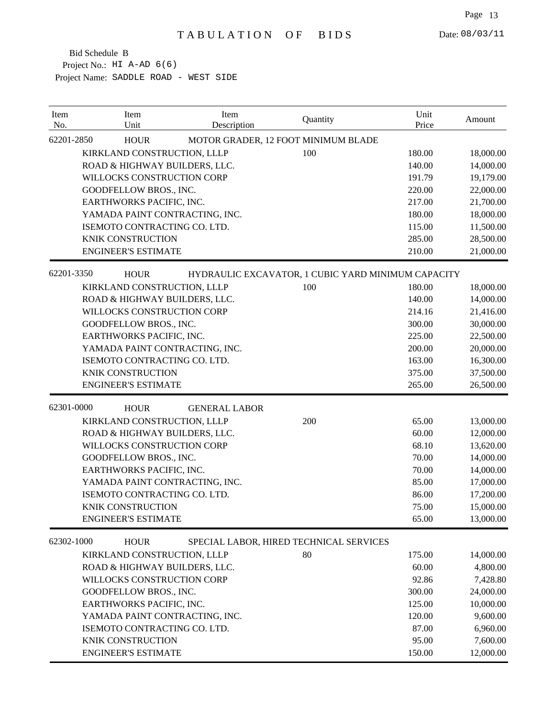| Item<br>No. | Item<br>Unit                   | Item<br>Description  | Quantity                                           | Unit<br>Price | Amount    |
|-------------|--------------------------------|----------------------|----------------------------------------------------|---------------|-----------|
| 62201-2850  | <b>HOUR</b>                    |                      | MOTOR GRADER, 12 FOOT MINIMUM BLADE                |               |           |
|             | KIRKLAND CONSTRUCTION, LLLP    |                      | 100                                                | 180.00        | 18,000.00 |
|             | ROAD & HIGHWAY BUILDERS, LLC.  |                      |                                                    | 140.00        | 14,000.00 |
|             | WILLOCKS CONSTRUCTION CORP     |                      |                                                    | 191.79        | 19,179.00 |
|             | GOODFELLOW BROS., INC.         |                      |                                                    | 220.00        | 22,000.00 |
|             | EARTHWORKS PACIFIC, INC.       |                      |                                                    | 217.00        | 21,700.00 |
|             | YAMADA PAINT CONTRACTING, INC. |                      |                                                    | 180.00        | 18,000.00 |
|             | ISEMOTO CONTRACTING CO. LTD.   |                      |                                                    | 115.00        | 11,500.00 |
|             | KNIK CONSTRUCTION              |                      |                                                    | 285.00        | 28,500.00 |
|             | <b>ENGINEER'S ESTIMATE</b>     |                      |                                                    | 210.00        | 21,000.00 |
| 62201-3350  | <b>HOUR</b>                    |                      | HYDRAULIC EXCAVATOR, 1 CUBIC YARD MINIMUM CAPACITY |               |           |
|             | KIRKLAND CONSTRUCTION, LLLP    |                      | 100                                                | 180.00        | 18,000.00 |
|             | ROAD & HIGHWAY BUILDERS, LLC.  |                      |                                                    | 140.00        | 14,000.00 |
|             | WILLOCKS CONSTRUCTION CORP     |                      |                                                    | 214.16        | 21,416.00 |
|             | GOODFELLOW BROS., INC.         |                      |                                                    | 300.00        | 30,000.00 |
|             | EARTHWORKS PACIFIC, INC.       |                      |                                                    | 225.00        | 22,500.00 |
|             | YAMADA PAINT CONTRACTING, INC. |                      |                                                    | 200.00        | 20,000.00 |
|             | ISEMOTO CONTRACTING CO. LTD.   |                      |                                                    | 163.00        | 16,300.00 |
|             | <b>KNIK CONSTRUCTION</b>       |                      |                                                    | 375.00        | 37,500.00 |
|             | <b>ENGINEER'S ESTIMATE</b>     |                      |                                                    | 265.00        | 26,500.00 |
| 62301-0000  | <b>HOUR</b>                    | <b>GENERAL LABOR</b> |                                                    |               |           |
|             | KIRKLAND CONSTRUCTION, LLLP    |                      | 200                                                | 65.00         | 13,000.00 |
|             | ROAD & HIGHWAY BUILDERS, LLC.  |                      |                                                    | 60.00         | 12,000.00 |
|             | WILLOCKS CONSTRUCTION CORP     |                      |                                                    | 68.10         | 13,620.00 |
|             | GOODFELLOW BROS., INC.         |                      |                                                    | 70.00         | 14,000.00 |
|             | EARTHWORKS PACIFIC, INC.       |                      |                                                    | 70.00         | 14,000.00 |
|             | YAMADA PAINT CONTRACTING, INC. |                      |                                                    | 85.00         | 17,000.00 |
|             | ISEMOTO CONTRACTING CO. LTD.   |                      |                                                    | 86.00         | 17,200.00 |
|             | <b>KNIK CONSTRUCTION</b>       |                      |                                                    | 75.00         | 15,000.00 |
|             | <b>ENGINEER'S ESTIMATE</b>     |                      |                                                    | 65.00         | 13,000.00 |
| 62302-1000  | <b>HOUR</b>                    |                      | SPECIAL LABOR, HIRED TECHNICAL SERVICES            |               |           |
|             | KIRKLAND CONSTRUCTION, LLLP    |                      | 80                                                 | 175.00        | 14,000.00 |
|             | ROAD & HIGHWAY BUILDERS, LLC.  |                      |                                                    | 60.00         | 4,800.00  |
|             | WILLOCKS CONSTRUCTION CORP     |                      |                                                    | 92.86         | 7,428.80  |
|             | GOODFELLOW BROS., INC.         |                      |                                                    | 300.00        | 24,000.00 |
|             | EARTHWORKS PACIFIC, INC.       |                      |                                                    | 125.00        | 10,000.00 |
|             | YAMADA PAINT CONTRACTING, INC. |                      |                                                    | 120.00        | 9,600.00  |
|             | ISEMOTO CONTRACTING CO. LTD.   |                      |                                                    | 87.00         | 6,960.00  |
|             | KNIK CONSTRUCTION              |                      |                                                    | 95.00         | 7,600.00  |
|             | <b>ENGINEER'S ESTIMATE</b>     |                      |                                                    | 150.00        | 12,000.00 |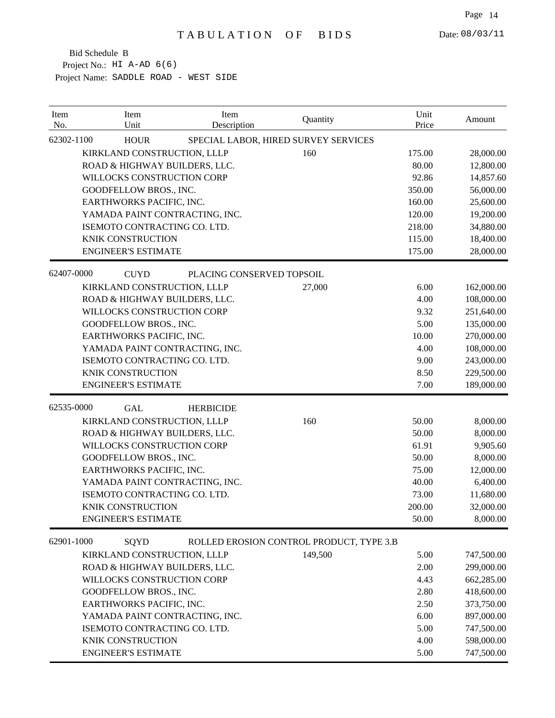| Item<br>No. | Item<br>Unit                   | Item<br>Description       | Quantity                                 | Unit<br>Price | Amount     |
|-------------|--------------------------------|---------------------------|------------------------------------------|---------------|------------|
| 62302-1100  | <b>HOUR</b>                    |                           | SPECIAL LABOR, HIRED SURVEY SERVICES     |               |            |
|             | KIRKLAND CONSTRUCTION, LLLP    |                           | 160                                      | 175.00        | 28,000.00  |
|             | ROAD & HIGHWAY BUILDERS, LLC.  |                           |                                          | 80.00         | 12,800.00  |
|             | WILLOCKS CONSTRUCTION CORP     |                           |                                          | 92.86         | 14,857.60  |
|             | GOODFELLOW BROS., INC.         |                           |                                          | 350.00        | 56,000.00  |
|             | EARTHWORKS PACIFIC, INC.       |                           |                                          | 160.00        | 25,600.00  |
|             | YAMADA PAINT CONTRACTING, INC. |                           |                                          | 120.00        | 19,200.00  |
|             | ISEMOTO CONTRACTING CO. LTD.   |                           |                                          | 218.00        | 34,880.00  |
|             | KNIK CONSTRUCTION              |                           |                                          | 115.00        | 18,400.00  |
|             | <b>ENGINEER'S ESTIMATE</b>     |                           |                                          | 175.00        | 28,000.00  |
| 62407-0000  | <b>CUYD</b>                    | PLACING CONSERVED TOPSOIL |                                          |               |            |
|             | KIRKLAND CONSTRUCTION, LLLP    |                           | 27,000                                   | $6.00\,$      | 162,000.00 |
|             | ROAD & HIGHWAY BUILDERS, LLC.  |                           |                                          | 4.00          | 108,000.00 |
|             | WILLOCKS CONSTRUCTION CORP     |                           |                                          | 9.32          | 251,640.00 |
|             | GOODFELLOW BROS., INC.         |                           |                                          | 5.00          | 135,000.00 |
|             | EARTHWORKS PACIFIC, INC.       |                           |                                          | 10.00         | 270,000.00 |
|             | YAMADA PAINT CONTRACTING, INC. |                           |                                          | 4.00          | 108,000.00 |
|             | ISEMOTO CONTRACTING CO. LTD.   |                           |                                          | 9.00          | 243,000.00 |
|             | <b>KNIK CONSTRUCTION</b>       |                           |                                          | 8.50          | 229,500.00 |
|             | <b>ENGINEER'S ESTIMATE</b>     |                           |                                          | 7.00          | 189,000.00 |
| 62535-0000  | <b>GAL</b>                     | <b>HERBICIDE</b>          |                                          |               |            |
|             | KIRKLAND CONSTRUCTION, LLLP    |                           | 160                                      | 50.00         | 8,000.00   |
|             | ROAD & HIGHWAY BUILDERS, LLC.  |                           |                                          | 50.00         | 8,000.00   |
|             | WILLOCKS CONSTRUCTION CORP     |                           |                                          | 61.91         | 9,905.60   |
|             | GOODFELLOW BROS., INC.         |                           |                                          | 50.00         | 8,000.00   |
|             | EARTHWORKS PACIFIC, INC.       |                           |                                          | 75.00         | 12,000.00  |
|             | YAMADA PAINT CONTRACTING, INC. |                           |                                          | 40.00         | 6,400.00   |
|             | ISEMOTO CONTRACTING CO. LTD.   |                           |                                          | 73.00         | 11,680.00  |
|             | <b>KNIK CONSTRUCTION</b>       |                           |                                          | 200.00        | 32,000.00  |
|             | <b>ENGINEER'S ESTIMATE</b>     |                           |                                          | 50.00         | 8,000.00   |
| 62901-1000  | SQYD                           |                           | ROLLED EROSION CONTROL PRODUCT, TYPE 3.B |               |            |
|             | KIRKLAND CONSTRUCTION, LLLP    |                           | 149,500                                  | 5.00          | 747,500.00 |
|             | ROAD & HIGHWAY BUILDERS, LLC.  |                           |                                          | 2.00          | 299,000.00 |
|             | WILLOCKS CONSTRUCTION CORP     |                           |                                          | 4.43          | 662,285.00 |
|             | GOODFELLOW BROS., INC.         |                           |                                          | 2.80          | 418,600.00 |
|             | EARTHWORKS PACIFIC, INC.       |                           |                                          | 2.50          | 373,750.00 |
|             | YAMADA PAINT CONTRACTING, INC. |                           |                                          | 6.00          | 897,000.00 |
|             | ISEMOTO CONTRACTING CO. LTD.   |                           |                                          | 5.00          | 747,500.00 |
|             | KNIK CONSTRUCTION              |                           |                                          | 4.00          | 598,000.00 |
|             | <b>ENGINEER'S ESTIMATE</b>     |                           |                                          | 5.00          | 747,500.00 |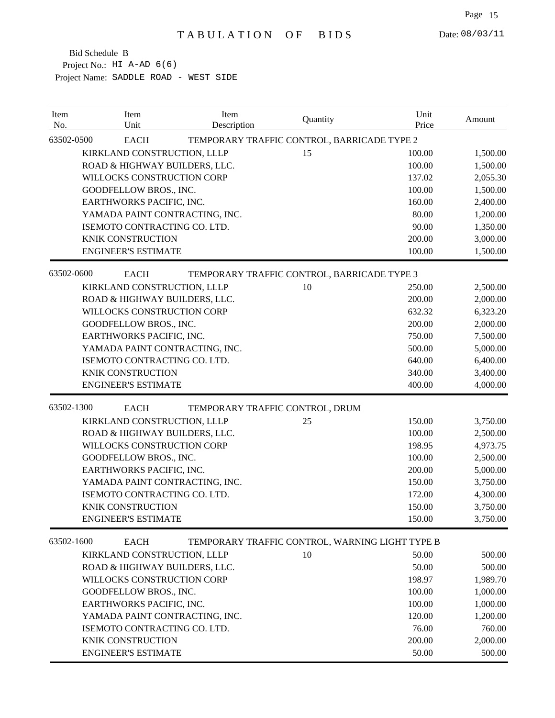| Item<br>No. | Item<br>Unit                   | Item<br>Description             | Quantity                                        | Unit<br>Price | Amount   |
|-------------|--------------------------------|---------------------------------|-------------------------------------------------|---------------|----------|
| 63502-0500  | <b>EACH</b>                    |                                 | TEMPORARY TRAFFIC CONTROL, BARRICADE TYPE 2     |               |          |
|             | KIRKLAND CONSTRUCTION, LLLP    |                                 | 15                                              | 100.00        | 1,500.00 |
|             | ROAD & HIGHWAY BUILDERS, LLC.  |                                 |                                                 | 100.00        | 1,500.00 |
|             | WILLOCKS CONSTRUCTION CORP     |                                 |                                                 | 137.02        | 2,055.30 |
|             | GOODFELLOW BROS., INC.         |                                 |                                                 | 100.00        | 1,500.00 |
|             | EARTHWORKS PACIFIC, INC.       |                                 |                                                 | 160.00        | 2,400.00 |
|             | YAMADA PAINT CONTRACTING, INC. |                                 |                                                 | 80.00         | 1,200.00 |
|             | ISEMOTO CONTRACTING CO. LTD.   |                                 |                                                 | 90.00         | 1,350.00 |
|             | KNIK CONSTRUCTION              |                                 |                                                 | 200.00        | 3,000.00 |
|             | <b>ENGINEER'S ESTIMATE</b>     |                                 |                                                 | 100.00        | 1,500.00 |
| 63502-0600  | <b>EACH</b>                    |                                 | TEMPORARY TRAFFIC CONTROL, BARRICADE TYPE 3     |               |          |
|             | KIRKLAND CONSTRUCTION, LLLP    |                                 | 10                                              | 250.00        | 2,500.00 |
|             | ROAD & HIGHWAY BUILDERS, LLC.  |                                 |                                                 | 200.00        | 2,000.00 |
|             | WILLOCKS CONSTRUCTION CORP     |                                 |                                                 | 632.32        | 6,323.20 |
|             | GOODFELLOW BROS., INC.         |                                 |                                                 | 200.00        | 2,000.00 |
|             | EARTHWORKS PACIFIC, INC.       |                                 |                                                 | 750.00        | 7,500.00 |
|             | YAMADA PAINT CONTRACTING, INC. |                                 |                                                 | 500.00        | 5,000.00 |
|             | ISEMOTO CONTRACTING CO. LTD.   |                                 |                                                 | 640.00        | 6,400.00 |
|             | <b>KNIK CONSTRUCTION</b>       |                                 |                                                 | 340.00        | 3,400.00 |
|             | <b>ENGINEER'S ESTIMATE</b>     |                                 |                                                 | 400.00        | 4,000.00 |
| 63502-1300  | <b>EACH</b>                    | TEMPORARY TRAFFIC CONTROL, DRUM |                                                 |               |          |
|             | KIRKLAND CONSTRUCTION, LLLP    |                                 | 25                                              | 150.00        | 3,750.00 |
|             | ROAD & HIGHWAY BUILDERS, LLC.  |                                 |                                                 | 100.00        | 2,500.00 |
|             | WILLOCKS CONSTRUCTION CORP     |                                 |                                                 | 198.95        | 4,973.75 |
|             | GOODFELLOW BROS., INC.         |                                 |                                                 | 100.00        | 2,500.00 |
|             | EARTHWORKS PACIFIC, INC.       |                                 |                                                 | 200.00        | 5,000.00 |
|             | YAMADA PAINT CONTRACTING, INC. |                                 |                                                 | 150.00        | 3,750.00 |
|             | ISEMOTO CONTRACTING CO. LTD.   |                                 |                                                 | 172.00        | 4,300.00 |
|             | <b>KNIK CONSTRUCTION</b>       |                                 |                                                 | 150.00        | 3,750.00 |
|             | <b>ENGINEER'S ESTIMATE</b>     |                                 |                                                 | 150.00        | 3,750.00 |
| 63502-1600  | <b>EACH</b>                    |                                 | TEMPORARY TRAFFIC CONTROL, WARNING LIGHT TYPE B |               |          |
|             | KIRKLAND CONSTRUCTION, LLLP    |                                 | 10                                              | 50.00         | 500.00   |
|             | ROAD & HIGHWAY BUILDERS, LLC.  |                                 |                                                 | 50.00         | 500.00   |
|             | WILLOCKS CONSTRUCTION CORP     |                                 |                                                 | 198.97        | 1,989.70 |
|             | GOODFELLOW BROS., INC.         |                                 |                                                 | 100.00        | 1,000.00 |
|             | EARTHWORKS PACIFIC, INC.       |                                 |                                                 | 100.00        | 1,000.00 |
|             | YAMADA PAINT CONTRACTING, INC. |                                 |                                                 | 120.00        | 1,200.00 |
|             | ISEMOTO CONTRACTING CO. LTD.   |                                 |                                                 | 76.00         | 760.00   |
|             | KNIK CONSTRUCTION              |                                 |                                                 | 200.00        | 2,000.00 |
|             | <b>ENGINEER'S ESTIMATE</b>     |                                 |                                                 | 50.00         | 500.00   |
|             |                                |                                 |                                                 |               |          |